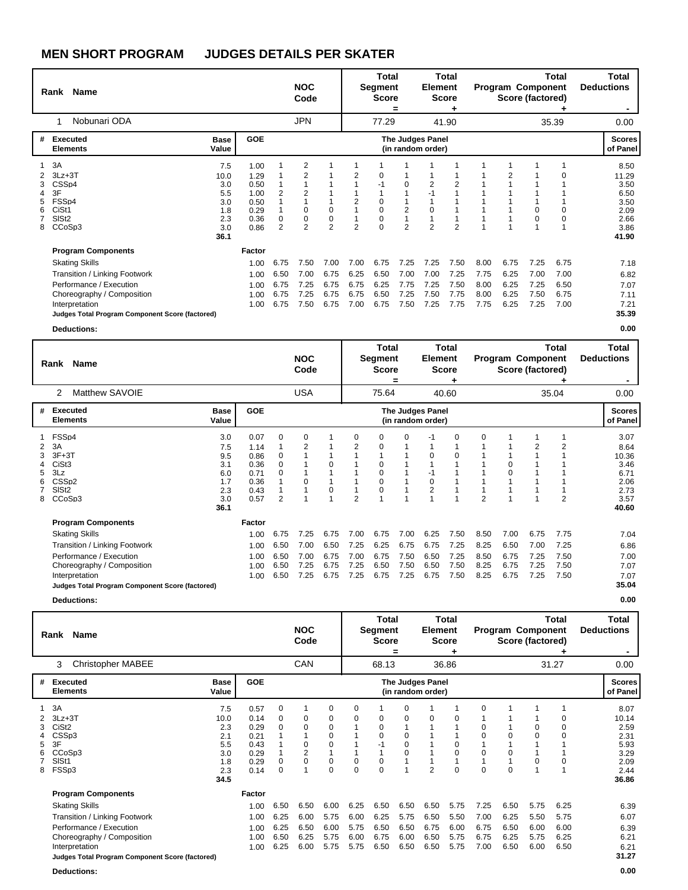|                                 | Name<br>Rank                                                                                                                                                                                                      |                                                               |                                                              |                                      | <b>NOC</b><br>Code                           |                                      |                                      | Total<br>Segment<br><b>Score</b>                         | $=$                                          | Element                                      | Total<br><b>Score</b>                |                                      |                                      | <b>Program Component</b><br>Score (factored) | Total                                | Total<br><b>Deductions</b>                                             |
|---------------------------------|-------------------------------------------------------------------------------------------------------------------------------------------------------------------------------------------------------------------|---------------------------------------------------------------|--------------------------------------------------------------|--------------------------------------|----------------------------------------------|--------------------------------------|--------------------------------------|----------------------------------------------------------|----------------------------------------------|----------------------------------------------|--------------------------------------|--------------------------------------|--------------------------------------|----------------------------------------------|--------------------------------------|------------------------------------------------------------------------|
|                                 | Nobunari ODA<br>-1                                                                                                                                                                                                |                                                               |                                                              |                                      | <b>JPN</b>                                   |                                      |                                      | 77.29                                                    |                                              |                                              | 41.90                                |                                      |                                      |                                              | 35.39                                | 0.00                                                                   |
|                                 | # Executed<br><b>Elements</b>                                                                                                                                                                                     | <b>Base</b><br>Value                                          | <b>GOE</b>                                                   |                                      |                                              |                                      |                                      |                                                          |                                              | <b>The Judges Panel</b><br>(in random order) |                                      |                                      |                                      |                                              |                                      | <b>Scores</b><br>of Panel                                              |
| 1<br>2<br>3<br>4<br>5<br>6<br>8 | 3A<br>$3Lz + 3T$<br>CSS <sub>p4</sub><br>3F<br>FSSp4<br>CiSt1<br>SIS <sub>t2</sub><br>CCoSp3                                                                                                                      | 7.5<br>10.0<br>3.0<br>5.5<br>3.0<br>1.8<br>2.3<br>3.0<br>36.1 | 1.00<br>1.29<br>0.50<br>1.00<br>0.50<br>0.29<br>0.36<br>0.86 | $\overline{2}$<br>$\mathbf 0$<br>2   | 2<br>2<br>0<br>$\mathbf 0$<br>$\overline{2}$ | $\pmb{0}$<br>0<br>$\overline{2}$     | 2<br>2<br>$\overline{2}$             | 0<br>$-1$<br>0<br>$\mathbf 0$<br>$\mathbf 0$<br>$\Omega$ | $\Omega$<br>$\overline{2}$<br>$\overline{2}$ | 2<br>$-1$<br>0<br>$\overline{2}$             | $\overline{2}$<br>$\overline{2}$     |                                      | 2                                    | 0<br>0                                       |                                      | 8.50<br>11.29<br>3.50<br>6.50<br>3.50<br>2.09<br>2.66<br>3.86<br>41.90 |
|                                 | <b>Program Components</b><br><b>Skating Skills</b><br>Transition / Linking Footwork<br>Performance / Execution<br>Choreography / Composition<br>Interpretation<br>Judges Total Program Component Score (factored) |                                                               | Factor<br>1.00<br>1.00<br>1.00<br>1.00<br>1.00               | 6.75<br>6.50<br>6.75<br>6.75<br>6.75 | 7.50<br>7.00<br>7.25<br>7.25<br>7.50         | 7.00<br>6.75<br>6.75<br>6.75<br>6.75 | 7.00<br>6.25<br>6.75<br>6.75<br>7.00 | 6.75<br>6.50<br>6.25<br>6.50<br>6.75                     | 7.25<br>7.00<br>7.75<br>7.25<br>7.50         | 7.25<br>7.00<br>7.25<br>7.50<br>7.25         | 7.50<br>7.25<br>7.50<br>7.75<br>7.75 | 8.00<br>7.75<br>8.00<br>8.00<br>7.75 | 6.75<br>6.25<br>6.25<br>6.25<br>6.25 | 7.25<br>7.00<br>7.25<br>7.50<br>7.25         | 6.75<br>7.00<br>6.50<br>6.75<br>7.00 | 7.18<br>6.82<br>7.07<br>7.11<br>7.21<br>35.39                          |

**Deductions: 0.00**

|        | Rank Name                                                                                                             |                                                              |                                                              |                                           | <b>NOC</b><br>Code   |                            |                          | Total<br>Segment<br><b>Score</b>       | =                    | <b>Element</b>                               | Total<br><b>Score</b> |                      |                      | Program Component<br>Score (factored) | Total                | Total<br><b>Deductions</b>                                             |
|--------|-----------------------------------------------------------------------------------------------------------------------|--------------------------------------------------------------|--------------------------------------------------------------|-------------------------------------------|----------------------|----------------------------|--------------------------|----------------------------------------|----------------------|----------------------------------------------|-----------------------|----------------------|----------------------|---------------------------------------|----------------------|------------------------------------------------------------------------|
|        | Matthew SAVOIE<br>2                                                                                                   |                                                              |                                                              |                                           | <b>USA</b>           |                            |                          | 75.64                                  |                      |                                              | 40.60                 |                      |                      |                                       | 35.04                | 0.00                                                                   |
| #      | <b>Executed</b><br><b>Elements</b>                                                                                    | <b>Base</b><br>Value                                         | <b>GOE</b>                                                   |                                           |                      |                            |                          |                                        |                      | <b>The Judges Panel</b><br>(in random order) |                       |                      |                      |                                       |                      | <b>Scores</b><br>of Panel                                              |
| 5<br>8 | FSSp4<br>3A<br>$3F+3T$<br>CiSt <sub>3</sub><br>3Lz<br>CSS <sub>p2</sub><br>SIS <sub>t2</sub><br>CCoSp3                | 3.0<br>7.5<br>9.5<br>3.1<br>6.0<br>1.7<br>2.3<br>3.0<br>36.1 | 0.07<br>1.14<br>0.86<br>0.36<br>0.71<br>0.36<br>0.43<br>0.57 | 0<br>0<br>$\Omega$<br>0<br>$\overline{2}$ | 0<br>2<br>0          | 1<br>$\mathbf 0$<br>0<br>1 | 0<br>2<br>$\overline{2}$ | 0<br>0<br>$\Omega$<br>0<br>0<br>0<br>4 | $\Omega$             | -1<br>0<br>-1<br>0<br>$\overline{2}$         | 0<br>0                | 0<br>$\overline{2}$  | $\Omega$<br>0        | 1<br>2                                | $\overline{2}$       | 3.07<br>8.64<br>10.36<br>3.46<br>6.71<br>2.06<br>2.73<br>3.57<br>40.60 |
|        | <b>Program Components</b><br><b>Skating Skills</b><br>Transition / Linking Footwork<br>Performance / Execution        |                                                              | Factor<br>1.00<br>1.00<br>1.00                               | 6.75<br>6.50<br>6.50                      | 7.25<br>7.00<br>7.00 | 6.75<br>6.50<br>6.75       | 7.00<br>7.25<br>7.00     | 6.75<br>6.25<br>6.75                   | 7.00<br>6.75<br>7.50 | 6.25<br>6.75<br>6.50                         | 7.50<br>7.25<br>7.25  | 8.50<br>8.25<br>8.50 | 7.00<br>6.50<br>6.75 | 6.75<br>7.00<br>7.25                  | 7.75<br>7.25<br>7.50 | 7.04<br>6.86<br>7.00                                                   |
|        | Choreography / Composition<br>Interpretation<br>Judges Total Program Component Score (factored)<br><b>Deductions:</b> |                                                              | 1.00<br>1.00                                                 | 6.50<br>6.50                              | 7.25<br>7.25         | 6.75<br>6.75               | 7.25<br>7.25             | 6.50<br>6.75                           | 7.50<br>7.25         | 6.50<br>6.75                                 | 7.50<br>7.50          | 8.25<br>8.25         | 6.75<br>6.75         | 7.25<br>7.25                          | 7.50<br>7.50         | 7.07<br>7.07<br>35.04<br>0.00                                          |

| Name<br>Rank                                                                                                                                                                                                      |                                                               |                                                              |                                      | <b>NOC</b><br>Code                   |                                                            |                                      | Total<br>Segment<br><b>Score</b>     | =                                    | <b>Element</b>                        | <b>Total</b><br><b>Score</b>         |                                      | <b>Program Component</b><br>Score (factored) |                                      | Total                                | Total<br><b>Deductions</b>                                             |
|-------------------------------------------------------------------------------------------------------------------------------------------------------------------------------------------------------------------|---------------------------------------------------------------|--------------------------------------------------------------|--------------------------------------|--------------------------------------|------------------------------------------------------------|--------------------------------------|--------------------------------------|--------------------------------------|---------------------------------------|--------------------------------------|--------------------------------------|----------------------------------------------|--------------------------------------|--------------------------------------|------------------------------------------------------------------------|
| <b>Christopher MABEE</b><br>3                                                                                                                                                                                     |                                                               |                                                              |                                      | CAN                                  |                                                            |                                      | 68.13                                |                                      |                                       | 36.86                                |                                      |                                              |                                      | 31.27                                | 0.00                                                                   |
| Executed<br>#<br><b>Elements</b>                                                                                                                                                                                  | <b>Base</b><br>Value                                          | <b>GOE</b>                                                   |                                      |                                      |                                                            |                                      |                                      |                                      | The Judges Panel<br>(in random order) |                                      |                                      |                                              |                                      |                                      | <b>Scores</b><br>of Panel                                              |
| 3A<br>$3Lz + 3T$<br>CiSt <sub>2</sub><br>CSSp3<br>3F<br>5<br>CCoSp3<br>SISt1<br>FSSp3<br>8                                                                                                                        | 7.5<br>10.0<br>2.3<br>2.1<br>5.5<br>3.0<br>1.8<br>2.3<br>34.5 | 0.57<br>0.14<br>0.29<br>0.21<br>0.43<br>0.29<br>0.29<br>0.14 | 0<br>0<br>0<br>0<br>0                | 0<br>0<br>0<br>$\overline{c}$<br>0   | 0<br>0<br>0<br>$\mathbf 0$<br>$\Omega$<br>0<br>$\mathbf 0$ | 0<br>0<br>0<br>0                     | 0<br>0<br>0<br>0<br>0                | 0<br>0<br>0<br>0<br>$\mathbf 0$      | $\Omega$<br>$\overline{2}$            | 0<br>0<br>0<br>0                     | 0<br>0<br>0<br>0<br>0                | $\Omega$                                     | 0<br>0<br>0                          | 0<br>0<br>0                          | 8.07<br>10.14<br>2.59<br>2.31<br>5.93<br>3.29<br>2.09<br>2.44<br>36.86 |
| <b>Program Components</b><br><b>Skating Skills</b><br>Transition / Linking Footwork<br>Performance / Execution<br>Choreography / Composition<br>Interpretation<br>Judges Total Program Component Score (factored) |                                                               | Factor<br>1.00<br>1.00<br>1.00<br>1.00<br>1.00               | 6.50<br>6.25<br>6.25<br>6.50<br>6.25 | 6.50<br>6.00<br>6.50<br>6.25<br>6.00 | 6.00<br>5.75<br>6.00<br>5.75<br>5.75                       | 6.25<br>6.00<br>5.75<br>6.00<br>5.75 | 6.50<br>6.25<br>6.50<br>6.75<br>6.50 | 6.50<br>5.75<br>6.50<br>6.00<br>6.50 | 6.50<br>6.50<br>6.75<br>6.50<br>6.50  | 5.75<br>5.50<br>6.00<br>5.75<br>5.75 | 7.25<br>7.00<br>6.75<br>6.75<br>7.00 | 6.50<br>6.25<br>6.50<br>6.25<br>6.50         | 5.75<br>5.50<br>6.00<br>5.75<br>6.00 | 6.25<br>5.75<br>6.00<br>6.25<br>6.50 | 6.39<br>6.07<br>6.39<br>6.21<br>6.21<br>31.27                          |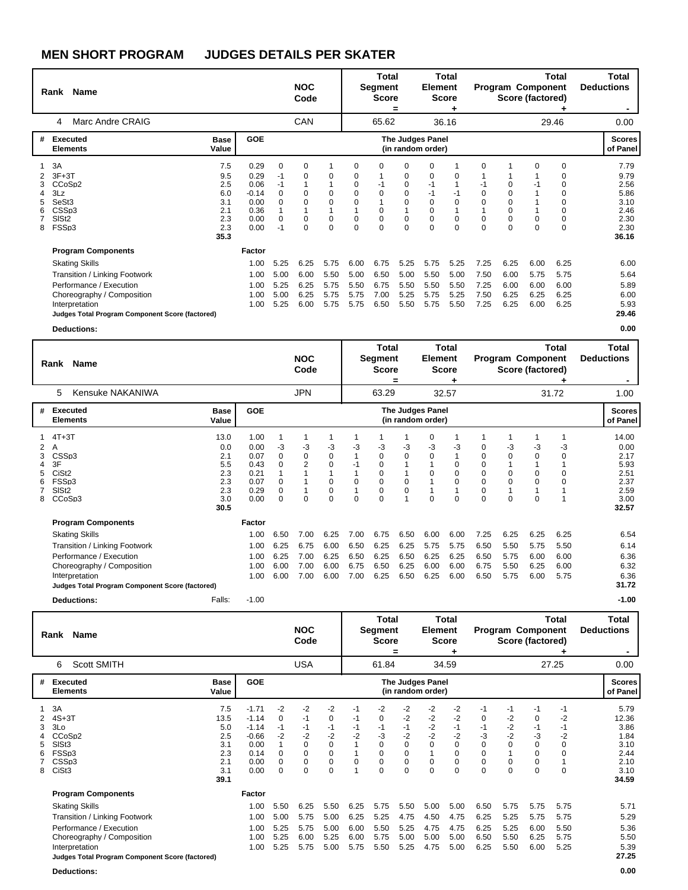|        | Rank Name                                                                                                                                                                                                                |                                                              |                                                                 |                                                                     | <b>NOC</b><br>Code                         |                                                  |                                                                       | <b>Total</b><br>Segment<br><b>Score</b>                                   | =                                                              | Element                                                   | Total<br><b>Score</b>                  |                                      |                                                                                     | Program Component<br>Score (factored) | Total                                | Total<br><b>Deductions</b>                                            |
|--------|--------------------------------------------------------------------------------------------------------------------------------------------------------------------------------------------------------------------------|--------------------------------------------------------------|-----------------------------------------------------------------|---------------------------------------------------------------------|--------------------------------------------|--------------------------------------------------|-----------------------------------------------------------------------|---------------------------------------------------------------------------|----------------------------------------------------------------|-----------------------------------------------------------|----------------------------------------|--------------------------------------|-------------------------------------------------------------------------------------|---------------------------------------|--------------------------------------|-----------------------------------------------------------------------|
|        | Marc Andre CRAIG<br>4                                                                                                                                                                                                    |                                                              |                                                                 |                                                                     | CAN                                        |                                                  |                                                                       | 65.62                                                                     |                                                                |                                                           | 36.16                                  |                                      |                                                                                     |                                       | 29.46                                | 0.00                                                                  |
| #      | Executed<br><b>Elements</b><br>Value                                                                                                                                                                                     | <b>Base</b>                                                  | <b>GOE</b>                                                      |                                                                     |                                            |                                                  |                                                                       |                                                                           | <b>The Judges Panel</b><br>(in random order)                   |                                                           |                                        |                                      |                                                                                     |                                       |                                      | <b>Scores</b><br>of Panel                                             |
| 5<br>8 | 3A<br>$3F+3T$<br>CCoSp2<br>3Lz<br>SeSt <sub>3</sub><br>CSSp3<br>SIS <sub>t2</sub><br>FSSp3                                                                                                                               | 7.5<br>9.5<br>2.5<br>6.0<br>3.1<br>2.1<br>2.3<br>2.3<br>35.3 | 0.29<br>0.29<br>0.06<br>$-0.14$<br>0.00<br>0.36<br>0.00<br>0.00 | $\mathbf 0$<br>-1<br>$-1$<br>$\Omega$<br>$\Omega$<br>$\Omega$<br>-1 | 0<br>0<br>$\Omega$<br>$\Omega$<br>$\Omega$ | 0<br>$\mathbf 0$<br>$\mathbf 0$<br>0<br>$\Omega$ | $\Omega$<br>0<br>$\Omega$<br>$\Omega$<br>$\mathbf 0$<br>0<br>$\Omega$ | $\Omega$<br>$-1$<br>$\mathbf 0$<br>$\mathbf 0$<br>$\mathbf 0$<br>$\Omega$ | $\Omega$<br>0<br>0<br>0<br>$\Omega$<br>$\mathbf 0$<br>$\Omega$ | 0<br>0<br>$-1$<br>-1<br>0<br>0<br>$\mathbf 0$<br>$\Omega$ | 0<br>$-1$<br>0<br>$\Omega$<br>$\Omega$ | $\Omega$<br>0                        | $\mathbf 0$<br>$\mathbf 0$<br>$\mathbf 0$<br>$\mathbf 0$<br>$\mathbf 0$<br>$\Omega$ | $\Omega$<br>0<br>$\Omega$             | 0<br>0<br>$\Omega$                   | 7.79<br>9.79<br>2.56<br>5.86<br>3.10<br>2.46<br>2.30<br>2.30<br>36.16 |
|        | <b>Program Components</b><br><b>Skating Skills</b><br><b>Transition / Linking Footwork</b><br>Performance / Execution<br>Choreography / Composition<br>Interpretation<br>Judges Total Program Component Score (factored) |                                                              | Factor<br>1.00<br>1.00<br>1.00<br>1.00<br>1.00                  | 5.25<br>5.00<br>5.25<br>5.00<br>5.25                                | 6.25<br>6.00<br>6.25<br>6.25<br>6.00       | 5.75<br>5.50<br>5.75<br>5.75<br>5.75             | 6.00<br>5.00<br>5.50<br>5.75<br>5.75                                  | 6.75<br>6.50<br>6.75<br>7.00<br>6.50                                      | 5.25<br>5.00<br>5.50<br>5.25<br>5.50                           | 5.75<br>5.50<br>5.50<br>5.75<br>5.75                      | 5.25<br>5.00<br>5.50<br>5.25<br>5.50   | 7.25<br>7.50<br>7.25<br>7.50<br>7.25 | 6.25<br>6.00<br>6.00<br>6.25<br>6.25                                                | 6.00<br>5.75<br>6.00<br>6.25<br>6.00  | 6.25<br>5.75<br>6.00<br>6.25<br>6.25 | 6.00<br>5.64<br>5.89<br>6.00<br>5.93<br>29.46                         |

**Deductions: 0.00**

|                       | Rank Name                                                                                                                                                                            |                                                               |                                                              |                                                               | <b>NOC</b><br>Code                   |                                                     |                                       | Total<br>Segment<br><b>Score</b>                                   | =                                     | Element                               | Total<br><b>Score</b>                       |                                               |                                                | <b>Program Component</b><br>Score (factored) | Total                                | Total<br><b>Deductions</b>                                             |
|-----------------------|--------------------------------------------------------------------------------------------------------------------------------------------------------------------------------------|---------------------------------------------------------------|--------------------------------------------------------------|---------------------------------------------------------------|--------------------------------------|-----------------------------------------------------|---------------------------------------|--------------------------------------------------------------------|---------------------------------------|---------------------------------------|---------------------------------------------|-----------------------------------------------|------------------------------------------------|----------------------------------------------|--------------------------------------|------------------------------------------------------------------------|
|                       | Kensuke NAKANIWA<br>5                                                                                                                                                                |                                                               |                                                              |                                                               | <b>JPN</b>                           |                                                     |                                       | 63.29                                                              |                                       |                                       | 32.57                                       |                                               |                                                |                                              | 31.72                                | 1.00                                                                   |
| #                     | Executed<br><b>Elements</b>                                                                                                                                                          | <b>Base</b><br>Value                                          | <b>GOE</b>                                                   |                                                               |                                      |                                                     |                                       |                                                                    |                                       | The Judges Panel<br>(in random order) |                                             |                                               |                                                |                                              |                                      | <b>Scores</b><br>of Panel                                              |
| 2<br>3<br>4<br>6<br>8 | $4T+3T$<br>A<br>CSSp3<br>3F<br>CiSt <sub>2</sub><br>FSSp3<br>SISt <sub>2</sub><br>CCoSp3                                                                                             | 13.0<br>0.0<br>2.1<br>5.5<br>2.3<br>2.3<br>2.3<br>3.0<br>30.5 | 1.00<br>0.00<br>0.07<br>0.43<br>0.21<br>0.07<br>0.29<br>0.00 | -3<br>$\mathbf 0$<br>$\Omega$<br>0<br>$\mathbf 0$<br>$\Omega$ | -3<br>0<br>$\overline{2}$<br>0       | 1<br>$-3$<br>0<br>$\mathbf 0$<br>0<br>0<br>$\Omega$ | -3<br>$-1$<br>$\mathbf 0$<br>$\Omega$ | -3<br>$\mathbf 0$<br>$\Omega$<br>0<br>$\mathbf 0$<br>0<br>$\Omega$ | $-3$<br>0<br>$\pmb{0}$<br>$\mathbf 0$ | 0<br>-3<br>0<br>0<br>0                | -3<br>$\Omega$<br>0<br>$\Omega$<br>$\Omega$ | 0<br>0<br>$\Omega$<br>0<br>0<br>$\Omega$<br>0 | -3<br>$\mathbf 0$<br>0<br>$\Omega$<br>$\Omega$ | 1<br>-3<br>0<br>0<br>0<br>0                  | -3<br>$\Omega$                       | 14.00<br>0.00<br>2.17<br>5.93<br>2.51<br>2.37<br>2.59<br>3.00<br>32.57 |
|                       | <b>Program Components</b>                                                                                                                                                            |                                                               | Factor                                                       |                                                               |                                      |                                                     |                                       |                                                                    |                                       |                                       |                                             |                                               |                                                |                                              |                                      |                                                                        |
|                       | <b>Skating Skills</b><br>Transition / Linking Footwork<br>Performance / Execution<br>Choreography / Composition<br>Interpretation<br>Judges Total Program Component Score (factored) |                                                               | 1.00<br>1.00<br>1.00<br>1.00<br>1.00                         | 6.50<br>6.25<br>6.25<br>6.00<br>6.00                          | 7.00<br>6.75<br>7.00<br>7.00<br>7.00 | 6.25<br>6.00<br>6.25<br>6.00<br>6.00                | 7.00<br>6.50<br>6.50<br>6.75<br>7.00  | 6.75<br>6.25<br>6.25<br>6.50<br>6.25                               | 6.50<br>6.25<br>6.50<br>6.25<br>6.50  | 6.00<br>5.75<br>6.25<br>6.00<br>6.25  | 6.00<br>5.75<br>6.25<br>6.00<br>6.00        | 7.25<br>6.50<br>6.50<br>6.75<br>6.50          | 6.25<br>5.50<br>5.75<br>5.50<br>5.75           | 6.25<br>5.75<br>6.00<br>6.25<br>6.00         | 6.25<br>5.50<br>6.00<br>6.00<br>5.75 | 6.54<br>6.14<br>6.36<br>6.32<br>6.36<br>31.72                          |
|                       | <b>Deductions:</b>                                                                                                                                                                   | Falls:                                                        | $-1.00$                                                      |                                                               |                                      |                                                     |                                       |                                                                    |                                       |                                       |                                             |                                               |                                                |                                              |                                      | $-1.00$                                                                |

|   | Rank Name                                                                                                      |                                                               |                                                                          |                                                       | <b>NOC</b><br>Code                                                |                                                               |                            | Total<br>Segment<br><b>Score</b>                                     |                                                                        | <b>Element</b>                                      | Total<br><b>Score</b>                                                       |                                                            |                                                         | <b>Program Component</b><br>Score (factored)          | Total                                       | Total<br><b>Deductions</b>                                             |
|---|----------------------------------------------------------------------------------------------------------------|---------------------------------------------------------------|--------------------------------------------------------------------------|-------------------------------------------------------|-------------------------------------------------------------------|---------------------------------------------------------------|----------------------------|----------------------------------------------------------------------|------------------------------------------------------------------------|-----------------------------------------------------|-----------------------------------------------------------------------------|------------------------------------------------------------|---------------------------------------------------------|-------------------------------------------------------|---------------------------------------------|------------------------------------------------------------------------|
|   | <b>Scott SMITH</b><br>6                                                                                        |                                                               |                                                                          |                                                       | <b>USA</b>                                                        |                                                               |                            | 61.84                                                                |                                                                        |                                                     | 34.59                                                                       |                                                            |                                                         |                                                       | 27.25                                       | 0.00                                                                   |
| # | Executed<br><b>Elements</b>                                                                                    | <b>Base</b><br>Value                                          | <b>GOE</b>                                                               |                                                       |                                                                   |                                                               |                            |                                                                      |                                                                        | <b>The Judges Panel</b><br>(in random order)        |                                                                             |                                                            |                                                         |                                                       |                                             | <b>Scores</b><br>of Panel                                              |
| 8 | 3A<br>$4S+3T$<br>3Lo<br>CCoSp2<br>SISt <sub>3</sub><br>FSSp3<br>CSSp3<br>CiSt <sub>3</sub>                     | 7.5<br>13.5<br>5.0<br>2.5<br>3.1<br>2.3<br>2.1<br>3.1<br>39.1 | $-1.71$<br>$-1.14$<br>$-1.14$<br>$-0.66$<br>0.00<br>0.14<br>0.00<br>0.00 | -2<br>0<br>-1<br>$-2$<br>0<br>$\mathbf 0$<br>$\Omega$ | $-2$<br>-1<br>-1<br>$-2$<br>$\Omega$<br>$\Omega$<br>0<br>$\Omega$ | -2<br>0<br>-1<br>$-2$<br>0<br>0<br>$\mathbf 0$<br>$\mathbf 0$ | $-1$<br>$-1$<br>-1<br>$-2$ | -2<br>0<br>-1<br>-3<br>$\Omega$<br>$\Omega$<br>$\pmb{0}$<br>$\Omega$ | -2<br>$-2$<br>$-1$<br>$-2$<br>$\mathbf 0$<br>$\Omega$<br>0<br>$\Omega$ | -2<br>-2<br>-2<br>$-2$<br>$\Omega$<br>0<br>$\Omega$ | $-2$<br>$-2$<br>$-1$<br>$-2$<br>$\mathbf 0$<br>0<br>$\mathbf 0$<br>$\Omega$ | $-1$<br>0<br>-1<br>-3<br>$\mathbf 0$<br>0<br>0<br>$\Omega$ | $-1$<br>-2<br>$-2$<br>$-2$<br>$\Omega$<br>0<br>$\Omega$ | -1<br>0<br>$-1$<br>$-3$<br>0<br>0<br>0<br>$\mathbf 0$ | $-1$<br>-2<br>$-1$<br>$-2$<br>0<br>$\Omega$ | 5.79<br>12.36<br>3.86<br>1.84<br>3.10<br>2.44<br>2.10<br>3.10<br>34.59 |
|   | <b>Program Components</b><br><b>Skating Skills</b><br>Transition / Linking Footwork<br>Performance / Execution |                                                               | Factor<br>1.00<br>1.00<br>1.00                                           | 5.50<br>5.00<br>5.25                                  | 6.25<br>5.75<br>5.75                                              | 5.50<br>5.00<br>5.00                                          | 6.25<br>6.25<br>6.00       | 5.75<br>5.25<br>5.50                                                 | 5.50<br>4.75<br>5.25                                                   | 5.00<br>4.50<br>4.75                                | 5.00<br>4.75<br>4.75                                                        | 6.50<br>6.25<br>6.25                                       | 5.75<br>5.25<br>5.25                                    | 5.75<br>5.75<br>6.00                                  | 5.75<br>5.75<br>5.50                        | 5.71<br>5.29<br>5.36                                                   |
|   | Choreography / Composition<br>Interpretation<br>Judges Total Program Component Score (factored)                |                                                               | 1.00<br>1.00                                                             | 5.25<br>5.25                                          | 6.00<br>5.75                                                      | 5.25<br>5.00                                                  | 6.00<br>5.75               | 5.75<br>5.50                                                         | 5.00<br>5.25                                                           | 5.00<br>4.75                                        | 5.00<br>5.00                                                                | 6.50<br>6.25                                               | 5.50<br>5.50                                            | 6.25<br>6.00                                          | 5.75<br>5.25                                | 5.50<br>5.39<br>27.25                                                  |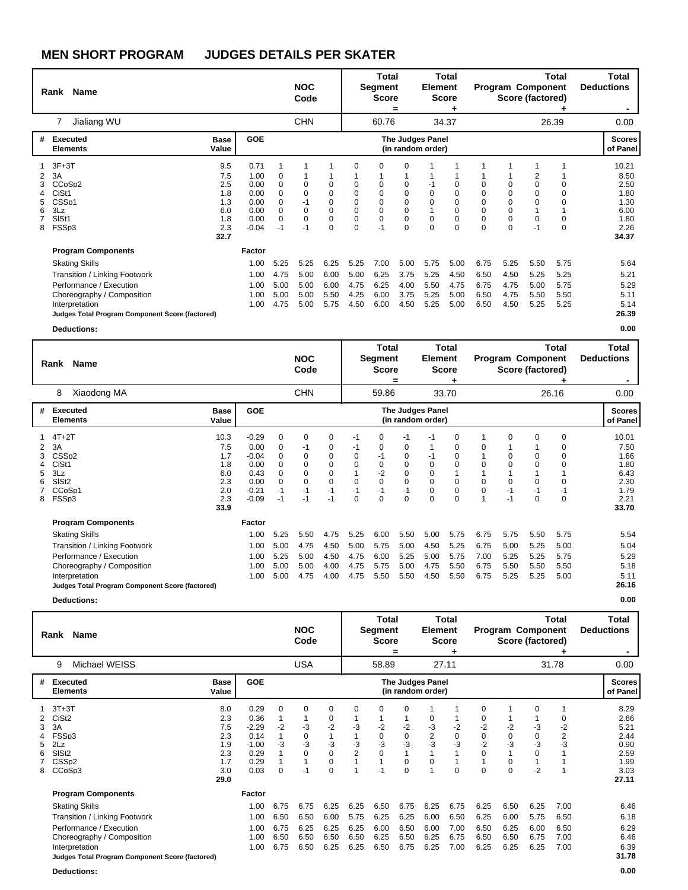| <b>Name</b><br>Rank                                                                                                                                                                                                      |                                                              |                                                                 |                                                  | <b>NOC</b><br>Code                             |                                                       |                                                       | <b>Total</b><br>Segment<br><b>Score</b>                                              | =                                                               | Element                              | <b>Total</b><br><b>Score</b>                              |                                      |                                                                           | Program Component<br>Score (factored) | Total                                | Total<br><b>Deductions</b>                                             |
|--------------------------------------------------------------------------------------------------------------------------------------------------------------------------------------------------------------------------|--------------------------------------------------------------|-----------------------------------------------------------------|--------------------------------------------------|------------------------------------------------|-------------------------------------------------------|-------------------------------------------------------|--------------------------------------------------------------------------------------|-----------------------------------------------------------------|--------------------------------------|-----------------------------------------------------------|--------------------------------------|---------------------------------------------------------------------------|---------------------------------------|--------------------------------------|------------------------------------------------------------------------|
| Jialiang WU<br>7                                                                                                                                                                                                         |                                                              |                                                                 |                                                  | <b>CHN</b>                                     |                                                       |                                                       | 60.76                                                                                |                                                                 |                                      | 34.37                                                     |                                      |                                                                           |                                       | 26.39                                | 0.00                                                                   |
| Executed<br>#<br><b>Elements</b>                                                                                                                                                                                         | <b>Base</b><br>Value                                         | <b>GOE</b>                                                      |                                                  |                                                |                                                       |                                                       |                                                                                      | <b>The Judges Panel</b><br>(in random order)                    |                                      |                                                           |                                      |                                                                           |                                       |                                      | <b>Scores</b><br>of Panel                                              |
| $3F+3T$<br>3A<br>2<br>CCoSp2<br>3<br>CiSt <sub>1</sub><br>CSS <sub>p1</sub><br>5<br>3Lz<br>6<br>SIS <sub>t1</sub><br>FSSp3<br>8                                                                                          | 9.5<br>7.5<br>2.5<br>1.8<br>1.3<br>6.0<br>1.8<br>2.3<br>32.7 | 0.71<br>1.00<br>0.00<br>0.00<br>0.00<br>0.00<br>0.00<br>$-0.04$ | 0<br>0<br>$\Omega$<br>0<br>0<br>$\Omega$<br>$-1$ | 0<br>$\Omega$<br>$-1$<br>0<br>$\Omega$<br>$-1$ | 0<br>0<br>$\mathbf 0$<br>0<br>$\mathbf 0$<br>$\Omega$ | $\Omega$<br>0<br>0<br>0<br>0<br>$\pmb{0}$<br>$\Omega$ | 0<br>$\mathbf 0$<br>$\mathbf 0$<br>$\mathbf 0$<br>$\mathbf 0$<br>$\mathbf 0$<br>$-1$ | O<br>0<br>$\mathbf 0$<br>$\mathbf 0$<br>$\mathbf 0$<br>$\Omega$ | 0<br>$\Omega$<br>0<br>$\Omega$       | $\Omega$<br>0<br>$\Omega$<br>$\mathbf 0$<br>0<br>$\Omega$ | $\Omega$<br>$\mathbf 0$<br>$\Omega$  | 0<br>$\mathbf 0$<br>$\mathbf 0$<br>$\mathbf 0$<br>$\mathbf 0$<br>$\Omega$ | 2<br>0<br>0<br>0<br>0<br>$-1$         | $\Omega$                             | 10.21<br>8.50<br>2.50<br>1.80<br>1.30<br>6.00<br>1.80<br>2.26<br>34.37 |
| <b>Program Components</b><br><b>Skating Skills</b><br><b>Transition / Linking Footwork</b><br>Performance / Execution<br>Choreography / Composition<br>Interpretation<br>Judges Total Program Component Score (factored) |                                                              | Factor<br>1.00<br>1.00<br>1.00<br>1.00<br>1.00                  | 5.25<br>4.75<br>5.00<br>5.00<br>4.75             | 5.25<br>5.00<br>5.00<br>5.00<br>5.00           | 6.25<br>6.00<br>6.00<br>5.50<br>5.75                  | 5.25<br>5.00<br>4.75<br>4.25<br>4.50                  | 7.00<br>6.25<br>6.25<br>6.00<br>6.00                                                 | 5.00<br>3.75<br>4.00<br>3.75<br>4.50                            | 5.75<br>5.25<br>5.50<br>5.25<br>5.25 | 5.00<br>4.50<br>4.75<br>5.00<br>5.00                      | 6.75<br>6.50<br>6.75<br>6.50<br>6.50 | 5.25<br>4.50<br>4.75<br>4.75<br>4.50                                      | 5.50<br>5.25<br>5.00<br>5.50<br>5.25  | 5.75<br>5.25<br>5.75<br>5.50<br>5.25 | 5.64<br>5.21<br>5.29<br>5.11<br>5.14<br>26.39                          |

**Deductions: 0.00**

|             | <b>Name</b><br>Rank                                                                                                                                                                  |                                                               |                                                                          |                                                                    | <b>NOC</b><br>Code                          |                                                      |                                                         | Total<br>Segment<br><b>Score</b>                             | =                                                                     | <b>Element</b>                               | <b>Total</b><br><b>Score</b>                        |                                      |                                       | <b>Program Component</b><br>Score (factored) | <b>Total</b>                           | <b>Total</b><br><b>Deductions</b>                                      |
|-------------|--------------------------------------------------------------------------------------------------------------------------------------------------------------------------------------|---------------------------------------------------------------|--------------------------------------------------------------------------|--------------------------------------------------------------------|---------------------------------------------|------------------------------------------------------|---------------------------------------------------------|--------------------------------------------------------------|-----------------------------------------------------------------------|----------------------------------------------|-----------------------------------------------------|--------------------------------------|---------------------------------------|----------------------------------------------|----------------------------------------|------------------------------------------------------------------------|
|             | Xiaodong MA<br>8                                                                                                                                                                     |                                                               |                                                                          |                                                                    | <b>CHN</b>                                  |                                                      |                                                         | 59.86                                                        |                                                                       |                                              | 33.70                                               |                                      |                                       |                                              | 26.16                                  | 0.00                                                                   |
| #           | <b>Executed</b><br><b>Elements</b>                                                                                                                                                   | <b>Base</b><br>Value                                          | <b>GOE</b>                                                               |                                                                    |                                             |                                                      |                                                         |                                                              |                                                                       | <b>The Judges Panel</b><br>(in random order) |                                                     |                                      |                                       |                                              |                                        | <b>Scores</b><br>of Panel                                              |
| 3<br>5<br>8 | $4T+2T$<br>3A<br>CSS <sub>D2</sub><br>CiSt1<br>3Lz<br>SISt <sub>2</sub><br>CCoSp1<br>FSSp3                                                                                           | 10.3<br>7.5<br>1.7<br>1.8<br>6.0<br>2.3<br>2.0<br>2.3<br>33.9 | $-0.29$<br>0.00<br>$-0.04$<br>0.00<br>0.43<br>0.00<br>$-0.21$<br>$-0.09$ | $\mathbf 0$<br>0<br>0<br>$\Omega$<br>0<br>$\Omega$<br>$-1$<br>$-1$ | 0<br>-1<br>0<br>0<br>0<br>0<br>$-1$<br>$-1$ | 0<br>0<br>0<br>0<br>0<br>$\mathbf 0$<br>$-1$<br>$-1$ | $-1$<br>-1<br>0<br>0<br>$\mathbf 0$<br>$-1$<br>$\Omega$ | 0<br>0<br>-1<br>0<br>$-2$<br>$\mathbf 0$<br>$-1$<br>$\Omega$ | $-1$<br>0<br>0<br>0<br>$\mathbf 0$<br>$\mathbf 0$<br>$-1$<br>$\Omega$ | -1<br>-1<br>$\Omega$<br>0<br>0<br>0<br>0     | 0<br>0<br>0<br>$\overline{0}$<br>0<br>0<br>$\Omega$ | 0<br>0<br>$\Omega$<br>$\Omega$       | 0<br>0<br>$\Omega$<br>0<br>$-1$<br>-1 | 0<br>0<br>0<br>0<br>$-1$<br>0                | 0<br>0<br>$\Omega$<br>$-1$<br>$\Omega$ | 10.01<br>7.50<br>1.66<br>1.80<br>6.43<br>2.30<br>1.79<br>2.21<br>33.70 |
|             | <b>Program Components</b>                                                                                                                                                            |                                                               | <b>Factor</b>                                                            |                                                                    |                                             |                                                      |                                                         |                                                              |                                                                       |                                              |                                                     |                                      |                                       |                                              |                                        |                                                                        |
|             | <b>Skating Skills</b><br>Transition / Linking Footwork<br>Performance / Execution<br>Choreography / Composition<br>Interpretation<br>Judges Total Program Component Score (factored) |                                                               | 1.00<br>1.00<br>1.00<br>1.00<br>1.00                                     | 5.25<br>5.00<br>5.25<br>5.00<br>5.00                               | 5.50<br>4.75<br>5.00<br>5.00<br>4.75        | 4.75<br>4.50<br>4.50<br>4.00<br>4.00                 | 5.25<br>5.00<br>4.75<br>4.75<br>4.75                    | 6.00<br>5.75<br>6.00<br>5.75<br>5.50                         | 5.50<br>5.00<br>5.25<br>5.00<br>5.50                                  | 5.00<br>4.50<br>5.00<br>4.75<br>4.50         | 5.75<br>5.25<br>5.75<br>5.50<br>5.50                | 6.75<br>6.75<br>7.00<br>6.75<br>6.75 | 5.75<br>5.00<br>5.25<br>5.50<br>5.25  | 5.50<br>5.25<br>5.25<br>5.50<br>5.25         | 5.75<br>5.00<br>5.75<br>5.50<br>5.00   | 5.54<br>5.04<br>5.29<br>5.18<br>5.11<br>26.16                          |
|             | <b>Deductions:</b>                                                                                                                                                                   |                                                               |                                                                          |                                                                    |                                             |                                                      |                                                         |                                                              |                                                                       |                                              |                                                     |                                      |                                       |                                              |                                        | 0.00                                                                   |

|                  | Rank Name                                                                                                                                                                                                         |                                                              |                                                                    |                                      | <b>NOC</b><br>Code                              |                                                     |                                          | Total<br>Segment<br><b>Score</b>     | =                                              | <b>Element</b>                        | Total<br><b>Score</b>                |                                                            |                                      | <b>Program Component</b><br>Score (factored) | Total                                | Total<br><b>Deductions</b>                                            |
|------------------|-------------------------------------------------------------------------------------------------------------------------------------------------------------------------------------------------------------------|--------------------------------------------------------------|--------------------------------------------------------------------|--------------------------------------|-------------------------------------------------|-----------------------------------------------------|------------------------------------------|--------------------------------------|------------------------------------------------|---------------------------------------|--------------------------------------|------------------------------------------------------------|--------------------------------------|----------------------------------------------|--------------------------------------|-----------------------------------------------------------------------|
|                  | Michael WEISS<br>9                                                                                                                                                                                                |                                                              |                                                                    |                                      | <b>USA</b>                                      |                                                     |                                          | 58.89                                |                                                |                                       | 27.11                                |                                                            |                                      |                                              | 31.78                                | 0.00                                                                  |
| #                | <b>Executed</b><br><b>Elements</b>                                                                                                                                                                                | <b>Base</b><br>Value                                         | <b>GOE</b>                                                         |                                      |                                                 |                                                     |                                          |                                      |                                                | The Judges Panel<br>(in random order) |                                      |                                                            |                                      |                                              |                                      | <b>Scores</b><br>of Panel                                             |
| 3<br>5<br>6<br>8 | $3T+3T$<br>CiSt <sub>2</sub><br>3A<br>FSSp3<br>2Lz<br>SISt <sub>2</sub><br>CSS <sub>p2</sub><br>CCoSp3                                                                                                            | 8.0<br>2.3<br>7.5<br>2.3<br>1.9<br>2.3<br>1.7<br>3.0<br>29.0 | 0.29<br>0.36<br>$-2.29$<br>0.14<br>$-1.00$<br>0.29<br>0.29<br>0.03 | $\Omega$<br>$-2$<br>$-3$<br>$\Omega$ | $\Omega$<br>-3<br>0<br>$-3$<br>$\Omega$<br>$-1$ | $\Omega$<br>0<br>$-2$<br>$-3$<br>0<br>0<br>$\Omega$ | $\Omega$<br>$-3$<br>-3<br>$\overline{2}$ | 0<br>$-2$<br>0<br>$-3$<br>0          | $\Omega$<br>$-2$<br>0<br>$-3$<br>0<br>$\Omega$ | 0<br>-3<br>$\frac{2}{3}$              | $-2$<br>0<br>$-3$<br>$\Omega$        | $\Omega$<br>0<br>$-2$<br>0<br>$-2$<br>$\Omega$<br>$\Omega$ | $-2$<br>0<br>$-3$<br>$\Omega$        | $\Omega$<br>-3<br>0<br>-3<br>0<br>$-2$       | 0<br>-2<br>2<br>-3                   | 8.29<br>2.66<br>5.21<br>2.44<br>0.90<br>2.59<br>1.99<br>3.03<br>27.11 |
|                  | <b>Program Components</b><br><b>Skating Skills</b><br>Transition / Linking Footwork<br>Performance / Execution<br>Choreography / Composition<br>Interpretation<br>Judges Total Program Component Score (factored) |                                                              | Factor<br>1.00<br>1.00<br>1.00<br>1.00<br>1.00                     | 6.75<br>6.50<br>6.75<br>6.50<br>6.75 | 6.75<br>6.50<br>6.25<br>6.50<br>6.50            | 6.25<br>6.00<br>6.25<br>6.50<br>6.25                | 6.25<br>5.75<br>6.25<br>6.50<br>6.25     | 6.50<br>6.25<br>6.00<br>6.25<br>6.50 | 6.75<br>6.25<br>6.50<br>6.50<br>6.75           | 6.25<br>6.00<br>6.00<br>6.25<br>6.25  | 6.75<br>6.50<br>7.00<br>6.75<br>7.00 | 6.25<br>6.25<br>6.50<br>6.50<br>6.25                       | 6.50<br>6.00<br>6.25<br>6.50<br>6.25 | 6.25<br>5.75<br>6.00<br>6.75<br>6.25         | 7.00<br>6.50<br>6.50<br>7.00<br>7.00 | 6.46<br>6.18<br>6.29<br>6.46<br>6.39<br>31.78                         |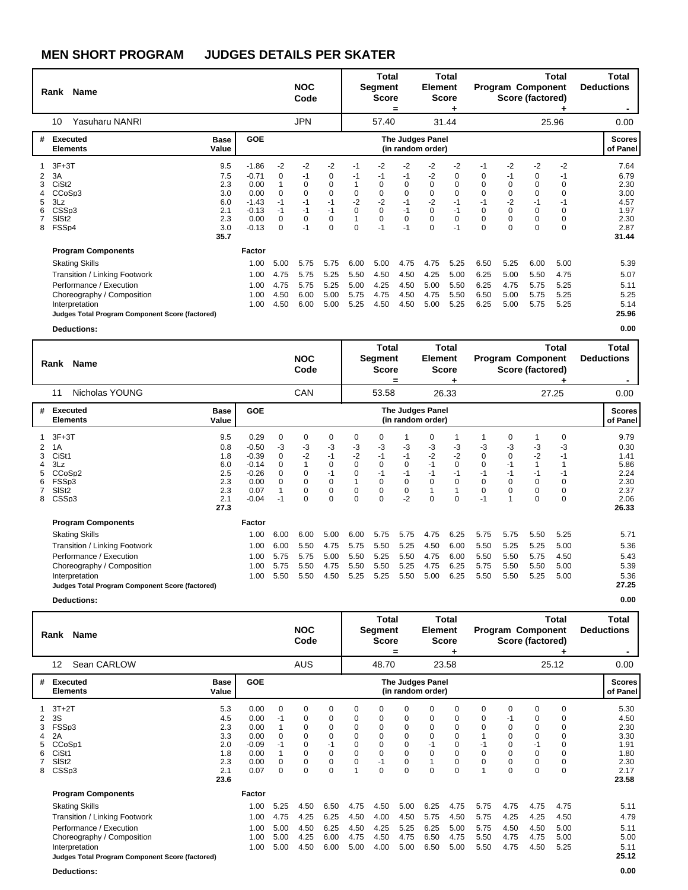| Rank                                                                                                      | Name                                                                                                                                                                                                                     |                                                              |                                                                             |                                                                    | <b>NOC</b><br>Code                                              |                                                                   |                                           | <b>Total</b><br>Segment<br><b>Score</b>                            | =                                                               | Element                                                        | Total<br><b>Score</b>                                   |                                                       |                                                                                            | Program Component<br>Score (factored)                    | Total                                                            | Total<br><b>Deductions</b>                                            |
|-----------------------------------------------------------------------------------------------------------|--------------------------------------------------------------------------------------------------------------------------------------------------------------------------------------------------------------------------|--------------------------------------------------------------|-----------------------------------------------------------------------------|--------------------------------------------------------------------|-----------------------------------------------------------------|-------------------------------------------------------------------|-------------------------------------------|--------------------------------------------------------------------|-----------------------------------------------------------------|----------------------------------------------------------------|---------------------------------------------------------|-------------------------------------------------------|--------------------------------------------------------------------------------------------|----------------------------------------------------------|------------------------------------------------------------------|-----------------------------------------------------------------------|
| 10                                                                                                        | Yasuharu NANRI                                                                                                                                                                                                           |                                                              |                                                                             |                                                                    | <b>JPN</b>                                                      |                                                                   |                                           | 57.40                                                              |                                                                 |                                                                | 31.44                                                   |                                                       |                                                                                            |                                                          | 25.96                                                            | 0.00                                                                  |
| #                                                                                                         | Executed<br><b>Elements</b>                                                                                                                                                                                              | <b>Base</b><br>Value                                         | <b>GOE</b>                                                                  |                                                                    |                                                                 |                                                                   |                                           |                                                                    |                                                                 | <b>The Judges Panel</b><br>(in random order)                   |                                                         |                                                       |                                                                                            |                                                          |                                                                  | <b>Scores</b><br>of Panel                                             |
| $3F+3T$<br>3A<br>2<br>CiSt <sub>2</sub><br>3<br>3Lz<br>5<br>CSSp3<br>6<br>SIS <sub>t2</sub><br>FSSp4<br>8 | CCoSp3                                                                                                                                                                                                                   | 9.5<br>7.5<br>2.3<br>3.0<br>6.0<br>2.1<br>2.3<br>3.0<br>35.7 | $-1.86$<br>$-0.71$<br>0.00<br>0.00<br>$-1.43$<br>$-0.13$<br>0.00<br>$-0.13$ | $-2$<br>0<br>1<br>$\Omega$<br>$-1$<br>$-1$<br>$\Omega$<br>$\Omega$ | $-2$<br>-1<br>$\Omega$<br>0<br>$-1$<br>$-1$<br>$\Omega$<br>$-1$ | $-2$<br>0<br>$\mathbf 0$<br>0<br>$-1$<br>$-1$<br>$\mathbf 0$<br>0 | -1<br>-1<br>0<br>$-2$<br>$\mathbf 0$<br>0 | $-2$<br>-1<br>0<br>0<br>$-2$<br>$\mathbf 0$<br>$\mathbf 0$<br>$-1$ | $-2$<br>-1<br>$\Omega$<br>0<br>$-1$<br>$-1$<br>$\Omega$<br>$-1$ | -2<br>-2<br>$\Omega$<br>0<br>$-2$<br>0<br>$\Omega$<br>$\Omega$ | $-2$<br>0<br>$\Omega$<br>0<br>$-1$<br>$-1$<br>0<br>$-1$ | $-1$<br>0<br>$-1$<br>$\Omega$<br>$\Omega$<br>$\Omega$ | $-2$<br>-1<br>$\mathbf 0$<br>$\mathbf 0$<br>$-2$<br>$\mathbf 0$<br>$\mathbf 0$<br>$\Omega$ | $-2$<br>0<br>$\Omega$<br>0<br>$-1$<br>0<br>0<br>$\Omega$ | $-2$<br>-1<br>$\Omega$<br>-1<br>$\Omega$<br>$\Omega$<br>$\Omega$ | 7.64<br>6.79<br>2.30<br>3.00<br>4.57<br>1.97<br>2.30<br>2.87<br>31.44 |
|                                                                                                           | <b>Program Components</b><br><b>Skating Skills</b><br><b>Transition / Linking Footwork</b><br>Performance / Execution<br>Choreography / Composition<br>Interpretation<br>Judges Total Program Component Score (factored) |                                                              | Factor<br>1.00<br>1.00<br>1.00<br>1.00<br>1.00                              | 5.00<br>4.75<br>4.75<br>4.50<br>4.50                               | 5.75<br>5.75<br>5.75<br>6.00<br>6.00                            | 5.75<br>5.25<br>5.25<br>5.00<br>5.00                              | 6.00<br>5.50<br>5.00<br>5.75<br>5.25      | 5.00<br>4.50<br>4.25<br>4.75<br>4.50                               | 4.75<br>4.50<br>4.50<br>4.50<br>4.50                            | 4.75<br>4.25<br>5.00<br>4.75<br>5.00                           | 5.25<br>5.00<br>5.50<br>5.50<br>5.25                    | 6.50<br>6.25<br>6.25<br>6.50<br>6.25                  | 5.25<br>5.00<br>4.75<br>5.00<br>5.00                                                       | 6.00<br>5.50<br>5.75<br>5.75<br>5.75                     | 5.00<br>4.75<br>5.25<br>5.25<br>5.25                             | 5.39<br>5.07<br>5.11<br>5.25<br>5.14<br>25.96                         |

**Deductions: 0.00**

|        | Name<br>Rank                                                                                                                                                                         |                                                              |                                                                             |                                                           | <b>NOC</b><br>Code                         |                                                                |                                                             | Total<br>Segment<br><b>Score</b>                                    | =                                                            | <b>Element</b>                                   | <b>Total</b><br><b>Score</b>                    |                                                    |                                                                 | <b>Program Component</b><br>Score (factored)                  | Total                                                       | Total<br><b>Deductions</b>                                            |
|--------|--------------------------------------------------------------------------------------------------------------------------------------------------------------------------------------|--------------------------------------------------------------|-----------------------------------------------------------------------------|-----------------------------------------------------------|--------------------------------------------|----------------------------------------------------------------|-------------------------------------------------------------|---------------------------------------------------------------------|--------------------------------------------------------------|--------------------------------------------------|-------------------------------------------------|----------------------------------------------------|-----------------------------------------------------------------|---------------------------------------------------------------|-------------------------------------------------------------|-----------------------------------------------------------------------|
|        | Nicholas YOUNG<br>11                                                                                                                                                                 |                                                              |                                                                             |                                                           | CAN                                        |                                                                |                                                             | 53.58                                                               |                                                              |                                                  | 26.33                                           |                                                    |                                                                 |                                                               | 27.25                                                       | 0.00                                                                  |
| #      | Executed<br><b>Elements</b>                                                                                                                                                          | <b>Base</b><br>Value                                         | <b>GOE</b>                                                                  |                                                           |                                            |                                                                |                                                             |                                                                     |                                                              | The Judges Panel<br>(in random order)            |                                                 |                                                    |                                                                 |                                                               |                                                             | <b>Scores</b><br>of Panel                                             |
| 2<br>8 | $3F+3T$<br>1A<br>CiSt1<br>3Lz<br>CCoSp2<br>FSSp3<br>SIS <sub>t2</sub><br>CSSp3                                                                                                       | 9.5<br>0.8<br>1.8<br>6.0<br>2.5<br>2.3<br>2.3<br>2.1<br>27.3 | 0.29<br>$-0.50$<br>$-0.39$<br>$-0.14$<br>$-0.26$<br>0.00<br>0.07<br>$-0.04$ | 0<br>-3<br>$\mathbf 0$<br>$\Omega$<br>0<br>$\Omega$<br>-1 | 0<br>-3<br>$-2$<br>0<br>0<br>0<br>$\Omega$ | 0<br>$-3$<br>$-1$<br>$\mathbf 0$<br>$-1$<br>0<br>0<br>$\Omega$ | 0<br>-3<br>$-2$<br>$\Omega$<br>$\mathbf 0$<br>0<br>$\Omega$ | 0<br>$-3$<br>$-1$<br>$\Omega$<br>-1<br>$\mathbf 0$<br>0<br>$\Omega$ | $-3$<br>$-1$<br>$\Omega$<br>$-1$<br>0<br>$\mathbf 0$<br>$-2$ | 0<br>-3<br>$-2$<br>$-1$<br>$-1$<br>$\Omega$<br>0 | -3<br>$-2$<br>$\Omega$<br>$-1$<br>0<br>$\Omega$ | -3<br>0<br>$\Omega$<br>$-1$<br>$\Omega$<br>0<br>-1 | 0<br>-3<br>$\mathbf 0$<br>$-1$<br>-1<br>$\mathbf 0$<br>$\Omega$ | 1<br>-3<br>$-2$<br>$\mathbf{1}$<br>$-1$<br>0<br>0<br>$\Omega$ | 0<br>-3<br>$-1$<br>$-1$<br>$\Omega$<br>$\Omega$<br>$\Omega$ | 9.79<br>0.30<br>1.41<br>5.86<br>2.24<br>2.30<br>2.37<br>2.06<br>26.33 |
|        | <b>Program Components</b>                                                                                                                                                            |                                                              | Factor                                                                      |                                                           |                                            |                                                                |                                                             |                                                                     |                                                              |                                                  |                                                 |                                                    |                                                                 |                                                               |                                                             |                                                                       |
|        | <b>Skating Skills</b><br>Transition / Linking Footwork<br>Performance / Execution<br>Choreography / Composition<br>Interpretation<br>Judges Total Program Component Score (factored) |                                                              | 1.00<br>1.00<br>1.00<br>1.00<br>1.00                                        | 6.00<br>6.00<br>5.75<br>5.75<br>5.50                      | 6.00<br>5.50<br>5.75<br>5.50<br>5.50       | 5.00<br>4.75<br>5.00<br>4.75<br>4.50                           | 6.00<br>5.75<br>5.50<br>5.50<br>5.25                        | 5.75<br>5.50<br>5.25<br>5.50<br>5.25                                | 5.75<br>5.25<br>5.50<br>5.25<br>5.50                         | 4.75<br>4.50<br>4.75<br>4.75<br>5.00             | 6.25<br>6.00<br>6.00<br>6.25<br>6.25            | 5.75<br>5.50<br>5.50<br>5.75<br>5.50               | 5.75<br>5.25<br>5.50<br>5.50<br>5.50                            | 5.50<br>5.25<br>5.75<br>5.50<br>5.25                          | 5.25<br>5.00<br>4.50<br>5.00<br>5.00                        | 5.71<br>5.36<br>5.43<br>5.39<br>5.36<br>27.25                         |
|        | <b>Deductions:</b>                                                                                                                                                                   |                                                              |                                                                             |                                                           |                                            |                                                                |                                                             |                                                                     |                                                              |                                                  |                                                 |                                                    |                                                                 |                                                               |                                                             | 0.00                                                                  |

| Name<br>Rank                                                                                                                                                          |                                                              |                                                                 |                                      | <b>NOC</b><br>Code                   |                                                                     |                                                             | Total<br><b>Segment</b><br><b>Score</b>        | =                                    | <b>Element</b>                                 | <b>Total</b><br><b>Score</b>                          |                                        | <b>Program Component</b><br>Score (factored)                                |                                                                     | Total                                              | Total<br><b>Deductions</b>                                            |
|-----------------------------------------------------------------------------------------------------------------------------------------------------------------------|--------------------------------------------------------------|-----------------------------------------------------------------|--------------------------------------|--------------------------------------|---------------------------------------------------------------------|-------------------------------------------------------------|------------------------------------------------|--------------------------------------|------------------------------------------------|-------------------------------------------------------|----------------------------------------|-----------------------------------------------------------------------------|---------------------------------------------------------------------|----------------------------------------------------|-----------------------------------------------------------------------|
| Sean CARLOW<br>12                                                                                                                                                     |                                                              |                                                                 |                                      | <b>AUS</b>                           |                                                                     |                                                             | 48.70                                          |                                      |                                                | 23.58                                                 |                                        |                                                                             |                                                                     | 25.12                                              | 0.00                                                                  |
| <b>Executed</b><br>#<br><b>Elements</b>                                                                                                                               | <b>Base</b><br>Value                                         | <b>GOE</b>                                                      |                                      |                                      |                                                                     |                                                             |                                                |                                      | <b>The Judges Panel</b><br>(in random order)   |                                                       |                                        |                                                                             |                                                                     |                                                    | <b>Scores</b><br>of Panel                                             |
| $3T+2T$<br>3S<br>2<br>FSSp3<br>2A<br>CCoSp1<br>CiSt1<br>6<br>SISt <sub>2</sub><br>CSSp3<br>8                                                                          | 5.3<br>4.5<br>2.3<br>3.3<br>2.0<br>1.8<br>2.3<br>2.1<br>23.6 | 0.00<br>0.00<br>0.00<br>0.00<br>$-0.09$<br>0.00<br>0.00<br>0.07 | 0<br>-1<br>$\Omega$<br>0<br>0        | 0<br>0<br>0<br>0<br>0<br>0<br>0<br>0 | 0<br>0<br>0<br>$\mathbf 0$<br>-1<br>$\mathbf 0$<br>$\mathbf 0$<br>0 | 0<br>0<br>0<br>$\Omega$<br>$\Omega$<br>$\Omega$<br>$\Omega$ | 0<br>0<br>0<br>$\Omega$<br>0<br>0<br>$-1$<br>0 | 0<br>0<br>0<br>0<br>0<br>0<br>0<br>0 | 0<br>0<br>0<br>$\Omega$<br>-1<br>$\Omega$<br>0 | 0<br>0<br>0<br>$\mathbf 0$<br>0<br>0<br>$\Omega$<br>0 | 0<br>0<br>0<br>$\mathbf 0$<br>$\Omega$ | $\Omega$<br>-1<br>0<br>$\Omega$<br>0<br>$\Omega$<br>$\Omega$<br>$\mathbf 0$ | 0<br>0<br>0<br>$\mathbf 0$<br>-1<br>0<br>$\mathbf 0$<br>$\mathbf 0$ | 0<br>0<br>0<br>$\Omega$<br>0<br>0<br>$\Omega$<br>0 | 5.30<br>4.50<br>2.30<br>3.30<br>1.91<br>1.80<br>2.30<br>2.17<br>23.58 |
| <b>Program Components</b><br><b>Skating Skills</b><br><b>Transition / Linking Footwork</b><br>Performance / Execution<br>Choreography / Composition<br>Interpretation |                                                              | Factor<br>1.00<br>1.00<br>1.00<br>1.00<br>1.00                  | 5.25<br>4.75<br>5.00<br>5.00<br>5.00 | 4.50<br>4.25<br>4.50<br>4.25<br>4.50 | 6.50<br>6.25<br>6.25<br>6.00<br>6.00                                | 4.75<br>4.50<br>4.50<br>4.75<br>5.00                        | 4.50<br>4.00<br>4.25<br>4.50<br>4.00           | 5.00<br>4.50<br>5.25<br>4.75<br>5.00 | 6.25<br>5.75<br>6.25<br>6.50<br>6.50           | 4.75<br>4.50<br>5.00<br>4.75<br>5.00                  | 5.75<br>5.75<br>5.75<br>5.50<br>5.50   | 4.75<br>4.25<br>4.50<br>4.75<br>4.75                                        | 4.75<br>4.25<br>4.50<br>4.75<br>4.50                                | 4.75<br>4.50<br>5.00<br>5.00<br>5.25               | 5.11<br>4.79<br>5.11<br>5.00<br>5.11                                  |
| Judges Total Program Component Score (factored)                                                                                                                       |                                                              |                                                                 |                                      |                                      |                                                                     |                                                             |                                                |                                      |                                                |                                                       |                                        |                                                                             |                                                                     |                                                    | 25.12                                                                 |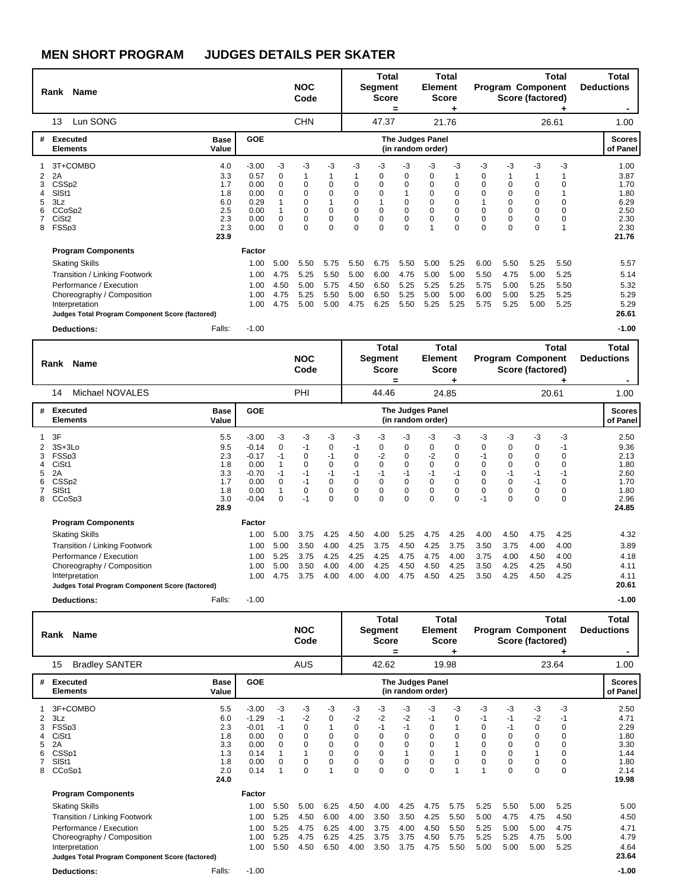|             | <b>Name</b><br>Rank                                                                                                                                                                                               |                                                              |                                                                 |                                           | <b>NOC</b><br>Code                                       |                                                                    |                                                          | Total<br><b>Segment</b><br><b>Score</b>                  | =                                                     | Element                                 | Total<br><b>Score</b>                                    |                                      |                                                          | <b>Program Component</b><br>Score (factored)     | Total                                | <b>Total</b><br><b>Deductions</b>                                     |
|-------------|-------------------------------------------------------------------------------------------------------------------------------------------------------------------------------------------------------------------|--------------------------------------------------------------|-----------------------------------------------------------------|-------------------------------------------|----------------------------------------------------------|--------------------------------------------------------------------|----------------------------------------------------------|----------------------------------------------------------|-------------------------------------------------------|-----------------------------------------|----------------------------------------------------------|--------------------------------------|----------------------------------------------------------|--------------------------------------------------|--------------------------------------|-----------------------------------------------------------------------|
|             | Lun SONG<br>13                                                                                                                                                                                                    |                                                              |                                                                 |                                           | <b>CHN</b>                                               |                                                                    |                                                          | 47.37                                                    |                                                       |                                         | 21.76                                                    |                                      |                                                          |                                                  | 26.61                                | 1.00                                                                  |
| #           | Executed<br><b>Elements</b>                                                                                                                                                                                       | <b>Base</b><br>Value                                         | <b>GOE</b>                                                      |                                           |                                                          |                                                                    |                                                          |                                                          |                                                       | The Judges Panel<br>(in random order)   |                                                          |                                      |                                                          |                                                  |                                      | <b>Scores</b><br>of Panel                                             |
| 2<br>5<br>8 | 3T+COMBO<br>2A<br>CSS <sub>D2</sub><br>SISt1<br>3Lz<br>CCoSp2<br>CiSt <sub>2</sub><br>FSSp3                                                                                                                       | 4.0<br>3.3<br>1.7<br>1.8<br>6.0<br>2.5<br>2.3<br>2.3<br>23.9 | $-3.00$<br>0.57<br>0.00<br>0.00<br>0.29<br>0.00<br>0.00<br>0.00 | $-3$<br>0<br>0<br>0<br>1<br>0<br>$\Omega$ | -3<br>0<br>0<br>$\mathbf 0$<br>$\Omega$<br>0<br>$\Omega$ | -3<br>$\mathbf 0$<br>0<br>1<br>$\Omega$<br>$\mathbf 0$<br>$\Omega$ | -3<br>0<br>0<br>0<br>$\Omega$<br>$\mathbf 0$<br>$\Omega$ | -3<br>0<br>0<br>0<br>$\Omega$<br>$\mathbf 0$<br>$\Omega$ | -3<br>0<br>$\Omega$<br>0<br>$\Omega$<br>0<br>$\Omega$ | -3<br>0<br>0<br>0<br>0<br>$\Omega$<br>0 | -3<br>0<br>0<br>$\mathbf 0$<br>$\Omega$<br>0<br>$\Omega$ | -3<br>0<br>0<br>$\Omega$<br>0<br>0   | -3<br>0<br>0<br>$\mathbf 0$<br>$\Omega$<br>0<br>$\Omega$ | $-3$<br>0<br>0<br>0<br>$\Omega$<br>0<br>$\Omega$ | -3                                   | 1.00<br>3.87<br>1.70<br>1.80<br>6.29<br>2.50<br>2.30<br>2.30<br>21.76 |
|             | <b>Program Components</b><br><b>Skating Skills</b><br>Transition / Linking Footwork<br>Performance / Execution<br>Choreography / Composition<br>Interpretation<br>Judges Total Program Component Score (factored) |                                                              | Factor<br>1.00<br>1.00<br>1.00<br>1.00<br>1.00                  | 5.00<br>4.75<br>4.50<br>4.75<br>4.75      | 5.50<br>5.25<br>5.00<br>5.25<br>5.00                     | 5.75<br>5.50<br>5.75<br>5.50<br>5.00                               | 5.50<br>5.00<br>4.50<br>5.00<br>4.75                     | 6.75<br>6.00<br>6.50<br>6.50<br>6.25                     | 5.50<br>4.75<br>5.25<br>5.25<br>5.50                  | 5.00<br>5.00<br>5.25<br>5.00<br>5.25    | 5.25<br>5.00<br>5.25<br>5.00<br>5.25                     | 6.00<br>5.50<br>5.75<br>6.00<br>5.75 | 5.50<br>4.75<br>5.00<br>5.00<br>5.25                     | 5.25<br>5.00<br>5.25<br>5.25<br>5.00             | 5.50<br>5.25<br>5.50<br>5.25<br>5.25 | 5.57<br>5.14<br>5.32<br>5.29<br>5.29<br>26.61                         |
|             | <b>Deductions:</b>                                                                                                                                                                                                | Falls:                                                       | $-1.00$                                                         |                                           |                                                          |                                                                    |                                                          |                                                          |                                                       |                                         |                                                          |                                      |                                                          |                                                  |                                      | $-1.00$                                                               |

|                       | <b>Name</b><br>Rank                                                                                                                                                                                               |                                                              |                                                                             |                                                | <b>NOC</b><br>Code                                     |                                                                      |                                                              | Total<br>Segment<br><b>Score</b>                                               | =                                                                       | <b>Element</b>                                          | <b>Total</b><br><b>Score</b>                                |                                                  |                                                                             | <b>Program Component</b><br>Score (factored)         | Total                                | <b>Total</b><br><b>Deductions</b>                                     |
|-----------------------|-------------------------------------------------------------------------------------------------------------------------------------------------------------------------------------------------------------------|--------------------------------------------------------------|-----------------------------------------------------------------------------|------------------------------------------------|--------------------------------------------------------|----------------------------------------------------------------------|--------------------------------------------------------------|--------------------------------------------------------------------------------|-------------------------------------------------------------------------|---------------------------------------------------------|-------------------------------------------------------------|--------------------------------------------------|-----------------------------------------------------------------------------|------------------------------------------------------|--------------------------------------|-----------------------------------------------------------------------|
|                       | Michael NOVALES<br>14                                                                                                                                                                                             |                                                              |                                                                             |                                                | PHI                                                    |                                                                      |                                                              | 44.46                                                                          |                                                                         |                                                         | 24.85                                                       |                                                  |                                                                             |                                                      | 20.61                                | 1.00                                                                  |
|                       | # Executed<br><b>Elements</b>                                                                                                                                                                                     | <b>Base</b><br>Value                                         | <b>GOE</b>                                                                  |                                                |                                                        |                                                                      |                                                              |                                                                                |                                                                         | <b>The Judges Panel</b><br>(in random order)            |                                                             |                                                  |                                                                             |                                                      |                                      | <b>Scores</b><br>of Panel                                             |
| 1<br>4<br>5<br>6<br>8 | 3F<br>$3S+3L0$<br>FSSp3<br>CiSt1<br>2A<br>CSSp2<br>SISt1<br>CCoSp3                                                                                                                                                | 5.5<br>9.5<br>2.3<br>1.8<br>3.3<br>1.7<br>1.8<br>3.0<br>28.9 | $-3.00$<br>$-0.14$<br>$-0.17$<br>0.00<br>$-0.70$<br>0.00<br>0.00<br>$-0.04$ | -3<br>0<br>-1<br>-1<br>$\mathbf 0$<br>$\Omega$ | $-3$<br>-1<br>0<br>$\Omega$<br>-1<br>$-1$<br>0<br>$-1$ | -3<br>0<br>$-1$<br>$\mathbf 0$<br>$-1$<br>$\pmb{0}$<br>0<br>$\Omega$ | $-3$<br>-1<br>0<br>$\mathbf 0$<br>$-1$<br>0<br>0<br>$\Omega$ | -3<br>0<br>$-2$<br>$\mathbf 0$<br>-1<br>$\mathbf 0$<br>$\mathbf 0$<br>$\Omega$ | $-3$<br>0<br>0<br>$\Omega$<br>-1<br>$\Omega$<br>$\mathbf 0$<br>$\Omega$ | -3<br>0<br>$-2$<br>$\Omega$<br>-1<br>$\Omega$<br>0<br>0 | $-3$<br>0<br>0<br>$\mathbf 0$<br>$-1$<br>0<br>0<br>$\Omega$ | -3<br>0<br>0<br>0<br>$\Omega$<br>$\Omega$<br>- 1 | -3<br>0<br>0<br>$\mathbf 0$<br>-1<br>$\mathbf 0$<br>$\mathbf 0$<br>$\Omega$ | $-3$<br>0<br>0<br>0<br>$-1$<br>$-1$<br>0<br>$\Omega$ | -3<br>-1<br>0<br>-1<br>$\Omega$      | 2.50<br>9.36<br>2.13<br>1.80<br>2.60<br>1.70<br>1.80<br>2.96<br>24.85 |
|                       | <b>Program Components</b><br><b>Skating Skills</b><br>Transition / Linking Footwork<br>Performance / Execution<br>Choreography / Composition<br>Interpretation<br>Judges Total Program Component Score (factored) |                                                              | Factor<br>1.00<br>1.00<br>1.00<br>1.00<br>1.00                              | 5.00<br>5.00<br>5.25<br>5.00<br>4.75           | 3.75<br>3.50<br>3.75<br>3.50<br>3.75                   | 4.25<br>4.00<br>4.25<br>4.00<br>4.00                                 | 4.50<br>4.25<br>4.25<br>4.00<br>4.00                         | 4.00<br>3.75<br>4.25<br>4.25<br>4.00                                           | 5.25<br>4.50<br>4.75<br>4.50<br>4.75                                    | 4.75<br>4.25<br>4.75<br>4.50<br>4.50                    | 4.25<br>3.75<br>4.00<br>4.25<br>4.25                        | 4.00<br>3.50<br>3.75<br>3.50<br>3.50             | 4.50<br>3.75<br>4.00<br>4.25<br>4.25                                        | 4.75<br>4.00<br>4.50<br>4.25<br>4.50                 | 4.25<br>4.00<br>4.00<br>4.50<br>4.25 | 4.32<br>3.89<br>4.18<br>4.11<br>4.11<br>20.61                         |
|                       | <b>Deductions:</b>                                                                                                                                                                                                | Falls:                                                       | $-1.00$                                                                     |                                                |                                                        |                                                                      |                                                              |                                                                                |                                                                         |                                                         |                                                             |                                                  |                                                                             |                                                      |                                      | $-1.00$                                                               |

|   | <b>Name</b><br>Rank                                                                                                                                                                                               |                                                      |                                                                       |                                        | <b>NOC</b><br>Code                   |                                                                               |                                                                 | Total<br>Segment<br><b>Score</b>                                        | $=$                                  | <b>Element</b>                                                                   | Total<br><b>Score</b>                |                                                 |                                                                  | <b>Program Component</b><br>Score (factored)                             | Total                                                       | Total<br><b>Deductions</b>                                   |
|---|-------------------------------------------------------------------------------------------------------------------------------------------------------------------------------------------------------------------|------------------------------------------------------|-----------------------------------------------------------------------|----------------------------------------|--------------------------------------|-------------------------------------------------------------------------------|-----------------------------------------------------------------|-------------------------------------------------------------------------|--------------------------------------|----------------------------------------------------------------------------------|--------------------------------------|-------------------------------------------------|------------------------------------------------------------------|--------------------------------------------------------------------------|-------------------------------------------------------------|--------------------------------------------------------------|
|   | <b>Bradley SANTER</b><br>15                                                                                                                                                                                       |                                                      |                                                                       |                                        | <b>AUS</b>                           |                                                                               |                                                                 | 42.62                                                                   |                                      |                                                                                  | 19.98                                |                                                 |                                                                  |                                                                          | 23.64                                                       | 1.00                                                         |
| # | <b>Executed</b><br><b>Elements</b>                                                                                                                                                                                | <b>Base</b><br>Value                                 | <b>GOE</b>                                                            |                                        |                                      |                                                                               |                                                                 |                                                                         |                                      | The Judges Panel<br>(in random order)                                            |                                      |                                                 |                                                                  |                                                                          |                                                             | <b>Scores</b><br>of Panel                                    |
| 8 | 3F+COMBO<br>3Lz<br>FSSp3<br>CiSt1<br>2A<br>CSS <sub>p1</sub><br>SISt1<br>CCoSp1                                                                                                                                   | 5.5<br>6.0<br>2.3<br>1.8<br>3.3<br>1.3<br>1.8<br>2.0 | $-3.00$<br>$-1.29$<br>$-0.01$<br>0.00<br>0.00<br>0.14<br>0.00<br>0.14 | -3<br>-1<br>$-1$<br>0<br>$\Omega$<br>0 | $-3$<br>-2<br>0<br>0<br>0<br>0<br>0  | -3<br>0<br>1<br>0<br>$\mathbf 0$<br>$\Omega$<br>$\mathbf 0$<br>$\overline{1}$ | $-3$<br>$-2$<br>$\Omega$<br>0<br>0<br>$\Omega$<br>0<br>$\Omega$ | -3<br>$-2$<br>$-1$<br>$\Omega$<br>$\Omega$<br>$\Omega$<br>0<br>$\Omega$ | -3<br>-2<br>$-1$<br>0<br>0<br>0<br>0 | -3<br>-1<br>$\Omega$<br>$\Omega$<br>$\Omega$<br>$\Omega$<br>$\Omega$<br>$\Omega$ | -3<br>0<br>$\Omega$<br>0             | -3<br>-1<br>$\Omega$<br>0<br>0<br>$\Omega$<br>0 | $-3$<br>-1<br>$-1$<br>0<br>$\Omega$<br>$\Omega$<br>0<br>$\Omega$ | -3<br>$-2$<br>$\mathbf 0$<br>0<br>$\mathbf 0$<br>$\mathbf 0$<br>$\Omega$ | -3<br>-1<br>$\Omega$<br>0<br>0<br>$\Omega$<br>0<br>$\Omega$ | 2.50<br>4.71<br>2.29<br>1.80<br>3.30<br>1.44<br>1.80<br>2.14 |
|   | <b>Program Components</b><br><b>Skating Skills</b><br>Transition / Linking Footwork<br>Performance / Execution<br>Choreography / Composition<br>Interpretation<br>Judges Total Program Component Score (factored) | 24.0                                                 | Factor<br>1.00<br>1.00<br>1.00<br>1.00<br>1.00                        | 5.50<br>5.25<br>5.25<br>5.25<br>5.50   | 5.00<br>4.50<br>4.75<br>4.75<br>4.50 | 6.25<br>6.00<br>6.25<br>6.25<br>6.50                                          | 4.50<br>4.00<br>4.00<br>4.25<br>4.00                            | 4.00<br>3.50<br>3.75<br>3.75<br>3.50                                    | 4.25<br>3.50<br>4.00<br>3.75<br>3.75 | 4.75<br>4.25<br>4.50<br>4.50<br>4.75                                             | 5.75<br>5.50<br>5.50<br>5.75<br>5.50 | 5.25<br>5.00<br>5.25<br>5.25<br>5.00            | 5.50<br>4.75<br>5.00<br>5.25<br>5.00                             | 5.00<br>4.75<br>5.00<br>4.75<br>5.00                                     | 5.25<br>4.50<br>4.75<br>5.00<br>5.25                        | 19.98<br>5.00<br>4.50<br>4.71<br>4.79<br>4.64<br>23.64       |
|   | <b>Deductions:</b>                                                                                                                                                                                                | Falls:                                               | $-1.00$                                                               |                                        |                                      |                                                                               |                                                                 |                                                                         |                                      |                                                                                  |                                      |                                                 |                                                                  |                                                                          |                                                             | $-1.00$                                                      |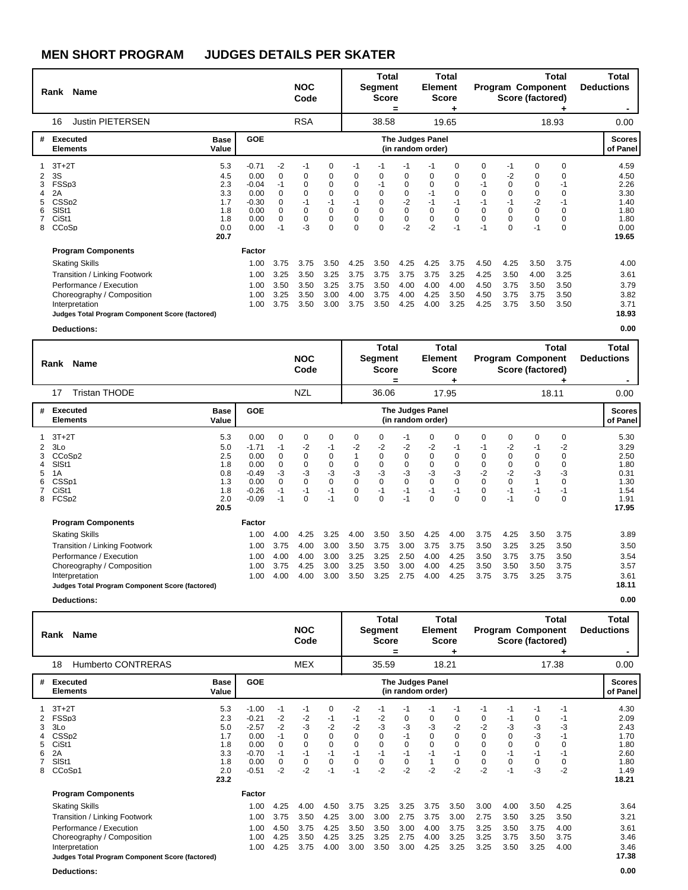|                                                            | Rank Name                                                                                                                                                                                                                |                                                              |                                                                       |                                                                     | <b>NOC</b><br>Code                                                            |                                                                                      |                                                                                | Total<br><b>Segment</b><br><b>Score</b>                                                 | =                                                                         | <b>Element</b>                                          | Total<br><b>Score</b>                                                         |                                                  |                                                                                          | <b>Program Component</b><br>Score (factored)             | Total                                               | Total<br><b>Deductions</b>                                            |
|------------------------------------------------------------|--------------------------------------------------------------------------------------------------------------------------------------------------------------------------------------------------------------------------|--------------------------------------------------------------|-----------------------------------------------------------------------|---------------------------------------------------------------------|-------------------------------------------------------------------------------|--------------------------------------------------------------------------------------|--------------------------------------------------------------------------------|-----------------------------------------------------------------------------------------|---------------------------------------------------------------------------|---------------------------------------------------------|-------------------------------------------------------------------------------|--------------------------------------------------|------------------------------------------------------------------------------------------|----------------------------------------------------------|-----------------------------------------------------|-----------------------------------------------------------------------|
| 16                                                         | <b>Justin PIETERSEN</b>                                                                                                                                                                                                  |                                                              |                                                                       |                                                                     | <b>RSA</b>                                                                    |                                                                                      |                                                                                | 38.58                                                                                   |                                                                           |                                                         | 19.65                                                                         |                                                  |                                                                                          |                                                          | 18.93                                               | 0.00                                                                  |
| #                                                          | Executed<br><b>Elements</b>                                                                                                                                                                                              | <b>Base</b><br>Value                                         | <b>GOE</b>                                                            |                                                                     |                                                                               |                                                                                      |                                                                                |                                                                                         |                                                                           | The Judges Panel<br>(in random order)                   |                                                                               |                                                  |                                                                                          |                                                          |                                                     | <b>Scores</b><br>of Panel                                             |
| 3S<br>3<br>2A<br>5<br>SIS <sub>t1</sub><br>6<br>CiSt1<br>8 | $3T+2T$<br>FSSp3<br>CSS <sub>D2</sub><br>CCoSp                                                                                                                                                                           | 5.3<br>4.5<br>2.3<br>3.3<br>1.7<br>1.8<br>1.8<br>0.0<br>20.7 | $-0.71$<br>0.00<br>$-0.04$<br>0.00<br>$-0.30$<br>0.00<br>0.00<br>0.00 | $-2$<br>0<br>$-1$<br>$\Omega$<br>0<br>$\Omega$<br>$\mathbf 0$<br>-1 | $-1$<br>0<br>$\Omega$<br>$\Omega$<br>$-1$<br>$\mathbf 0$<br>$\mathbf 0$<br>-3 | 0<br>0<br>$\mathbf 0$<br>$\mathbf 0$<br>$-1$<br>$\mathbf 0$<br>$\pmb{0}$<br>$\Omega$ | $-1$<br>0<br>$\Omega$<br>$\Omega$<br>-1<br>$\Omega$<br>$\mathbf 0$<br>$\Omega$ | -1<br>0<br>$-1$<br>$\mathbf 0$<br>$\mathbf 0$<br>$\mathbf 0$<br>$\mathbf 0$<br>$\Omega$ | $-1$<br>0<br>$\mathbf 0$<br>0<br>$-2$<br>$\mathbf 0$<br>$\pmb{0}$<br>$-2$ | 0<br>$\Omega$<br>-1<br>$-1$<br>$\mathbf 0$<br>0<br>$-2$ | $\Omega$<br>0<br>$\Omega$<br>0<br>-1<br>$\mathbf 0$<br>$\overline{0}$<br>$-1$ | $\Omega$<br>0<br>0<br>$\Omega$<br>$\Omega$<br>-1 | -1<br>-2<br>$\mathbf 0$<br>$\mathbf 0$<br>$-1$<br>$\mathbf 0$<br>$\mathbf 0$<br>$\Omega$ | $\Omega$<br>0<br>0<br>0<br>$-2$<br>$\Omega$<br>0<br>$-1$ | $\Omega$<br>0<br>$-1$<br>$\Omega$<br>-1<br>$\Omega$ | 4.59<br>4.50<br>2.26<br>3.30<br>1.40<br>1.80<br>1.80<br>0.00<br>19.65 |
|                                                            | <b>Program Components</b><br><b>Skating Skills</b><br><b>Transition / Linking Footwork</b><br>Performance / Execution<br>Choreography / Composition<br>Interpretation<br>Judges Total Program Component Score (factored) |                                                              | Factor<br>1.00<br>1.00<br>1.00<br>1.00<br>1.00                        | 3.75<br>3.25<br>3.50<br>3.25<br>3.75                                | 3.75<br>3.50<br>3.50<br>3.50<br>3.50                                          | 3.50<br>3.25<br>3.25<br>3.00<br>3.00                                                 | 4.25<br>3.75<br>3.75<br>4.00<br>3.75                                           | 3.50<br>3.75<br>3.50<br>3.75<br>3.50                                                    | 4.25<br>3.75<br>4.00<br>4.00<br>4.25                                      | 4.25<br>3.75<br>4.00<br>4.25<br>4.00                    | 3.75<br>3.25<br>4.00<br>3.50<br>3.25                                          | 4.50<br>4.25<br>4.50<br>4.50<br>4.25             | 4.25<br>3.50<br>3.75<br>3.75<br>3.75                                                     | 3.50<br>4.00<br>3.50<br>3.75<br>3.50                     | 3.75<br>3.25<br>3.50<br>3.50<br>3.50                | 4.00<br>3.61<br>3.79<br>3.82<br>3.71<br>18.93                         |

**Deductions: 0.00**

|                  | Rank Name                                                                                                                                                                                                         |                                                              |                                                                          |                                                        | <b>NOC</b><br>Code                                         |                                                          |                                                    | Total<br>Segment<br><b>Score</b>                           | $\equiv$                                                      | <b>Element</b>                                     | <b>Total</b><br><b>Score</b>                               |                                                                      |                                                                              | <b>Program Component</b><br>Score (factored) | Total                                                                        | Total<br><b>Deductions</b>                                            |
|------------------|-------------------------------------------------------------------------------------------------------------------------------------------------------------------------------------------------------------------|--------------------------------------------------------------|--------------------------------------------------------------------------|--------------------------------------------------------|------------------------------------------------------------|----------------------------------------------------------|----------------------------------------------------|------------------------------------------------------------|---------------------------------------------------------------|----------------------------------------------------|------------------------------------------------------------|----------------------------------------------------------------------|------------------------------------------------------------------------------|----------------------------------------------|------------------------------------------------------------------------------|-----------------------------------------------------------------------|
|                  | <b>Tristan THODE</b><br>17                                                                                                                                                                                        |                                                              |                                                                          |                                                        | <b>NZL</b>                                                 |                                                          |                                                    | 36.06                                                      |                                                               |                                                    | 17.95                                                      |                                                                      |                                                                              |                                              | 18.11                                                                        | 0.00                                                                  |
| #                | <b>Executed</b><br><b>Elements</b>                                                                                                                                                                                | <b>Base</b><br>Value                                         | <b>GOE</b>                                                               |                                                        |                                                            |                                                          |                                                    |                                                            |                                                               | <b>The Judges Panel</b><br>(in random order)       |                                                            |                                                                      |                                                                              |                                              |                                                                              | <b>Scores</b><br>of Panel                                             |
| 2<br>5<br>6<br>8 | $3T+2T$<br>3Lo<br>CCoSp2<br>SISt1<br>1A<br>CSSp1<br>CiSt1<br>FCSp2                                                                                                                                                | 5.3<br>5.0<br>2.5<br>1.8<br>0.8<br>1.3<br>1.8<br>2.0<br>20.5 | 0.00<br>$-1.71$<br>0.00<br>0.00<br>$-0.49$<br>0.00<br>$-0.26$<br>$-0.09$ | $\mathbf 0$<br>-1<br>0<br>0<br>-3<br>0<br>$-1$<br>$-1$ | 0<br>-2<br>0<br>0<br>-3<br>$\mathbf 0$<br>$-1$<br>$\Omega$ | 0<br>-1<br>0<br>0<br>$-3$<br>$\mathbf 0$<br>$-1$<br>$-1$ | 0<br>-2<br>0<br>-3<br>$\mathbf 0$<br>0<br>$\Omega$ | 0<br>-2<br>0<br>0<br>-3<br>$\mathbf 0$<br>$-1$<br>$\Omega$ | $-1$<br>$-2$<br>0<br>$\mathbf 0$<br>$-3$<br>0<br>$-1$<br>$-1$ | 0<br>$-2$<br>0<br>$\Omega$<br>-3<br>0<br>$-1$<br>0 | 0<br>-1<br>0<br>$\mathbf 0$<br>-3<br>0<br>$-1$<br>$\Omega$ | 0<br>-1<br>0<br>$\Omega$<br>$-2$<br>$\Omega$<br>$\Omega$<br>$\Omega$ | $\mathbf 0$<br>-2<br>$\mathbf 0$<br>0<br>$-2$<br>$\mathbf 0$<br>$-1$<br>$-1$ | 0<br>-1<br>0<br>0<br>-3<br>1<br>$-1$<br>0    | $\Omega$<br>-2<br>$\Omega$<br>$\Omega$<br>-3<br>$\Omega$<br>$-1$<br>$\Omega$ | 5.30<br>3.29<br>2.50<br>1.80<br>0.31<br>1.30<br>1.54<br>1.91<br>17.95 |
|                  | <b>Program Components</b><br><b>Skating Skills</b><br>Transition / Linking Footwork<br>Performance / Execution<br>Choreography / Composition<br>Interpretation<br>Judges Total Program Component Score (factored) |                                                              | Factor<br>1.00<br>1.00<br>1.00<br>1.00<br>1.00                           | 4.00<br>3.75<br>4.00<br>3.75<br>4.00                   | 4.25<br>4.00<br>4.00<br>4.25<br>4.00                       | 3.25<br>3.00<br>3.00<br>3.00<br>3.00                     | 4.00<br>3.50<br>3.25<br>3.25<br>3.50               | 3.50<br>3.75<br>3.25<br>3.50<br>3.25                       | 3.50<br>3.00<br>2.50<br>3.00<br>2.75                          | 4.25<br>3.75<br>4.00<br>4.00<br>4.00               | 4.00<br>3.75<br>4.25<br>4.25<br>4.25                       | 3.75<br>3.50<br>3.50<br>3.50<br>3.75                                 | 4.25<br>3.25<br>3.75<br>3.50<br>3.75                                         | 3.50<br>3.25<br>3.75<br>3.50<br>3.25         | 3.75<br>3.50<br>3.50<br>3.75<br>3.75                                         | 3.89<br>3.50<br>3.54<br>3.57<br>3.61<br>18.11                         |
|                  | <b>Deductions:</b>                                                                                                                                                                                                |                                                              |                                                                          |                                                        |                                                            |                                                          |                                                    |                                                            |                                                               |                                                    |                                                            |                                                                      |                                                                              |                                              |                                                                              | 0.00                                                                  |

|                                                              |                                                                             |                                                             | <b>NOC</b>                                                         |                                                          |                                                          |                                                 |                                               |                                                       |                                                          |                                                                                                  |                                                             |                                                         |                                      | Total<br><b>Deductions</b>                                            |
|--------------------------------------------------------------|-----------------------------------------------------------------------------|-------------------------------------------------------------|--------------------------------------------------------------------|----------------------------------------------------------|----------------------------------------------------------|-------------------------------------------------|-----------------------------------------------|-------------------------------------------------------|----------------------------------------------------------|--------------------------------------------------------------------------------------------------|-------------------------------------------------------------|---------------------------------------------------------|--------------------------------------|-----------------------------------------------------------------------|
|                                                              |                                                                             |                                                             | <b>MEX</b>                                                         |                                                          |                                                          |                                                 |                                               |                                                       |                                                          |                                                                                                  |                                                             |                                                         |                                      | 0.00                                                                  |
| <b>Base</b><br>Value                                         | <b>GOE</b>                                                                  |                                                             |                                                                    |                                                          |                                                          |                                                 |                                               |                                                       |                                                          |                                                                                                  |                                                             |                                                         |                                      | <b>Scores</b><br>of Panel                                             |
| 5.3<br>2.3<br>5.0<br>1.7<br>1.8<br>3.3<br>1.8<br>2.0<br>23.2 | $-1.00$<br>$-0.21$<br>$-2.57$<br>0.00<br>0.00<br>$-0.70$<br>0.00<br>$-0.51$ | $-1$<br>-2<br>$-2$<br>$-1$<br>0<br>$-1$<br>$\Omega$<br>$-2$ | $-1$<br>-2<br>$-3$<br>$\Omega$<br>$\mathbf 0$<br>$-1$<br>0<br>$-2$ | 0<br>-1<br>$-2$<br>0<br>$\mathbf 0$<br>$-1$<br>0<br>$-1$ | $-2$<br>-1<br>$-2$<br>0<br>0<br>$-1$<br>$\Omega$<br>$-1$ | -1<br>-2<br>$-3$<br>0<br>0<br>$-1$<br>0<br>$-2$ | -1<br>0<br>-3<br>-1<br>0<br>$-1$<br>0<br>$-2$ | -1<br>0<br>-3<br>$\Omega$<br>$\Omega$<br>$-1$<br>$-2$ | -1<br>0<br>$-2$<br>0<br>$\mathbf 0$<br>$-1$<br>0<br>$-2$ | $-1$<br>0<br>$-2$<br>$\Omega$<br>$\mathbf 0$<br>$\Omega$<br>0<br>$-2$                            | -1<br>-1<br>-3<br>$\Omega$<br>0<br>$-1$<br>$\Omega$<br>$-1$ | -1<br>0<br>-3<br>-3<br>$\mathbf 0$<br>$-1$<br>0<br>$-3$ | -1<br>-1<br>-3<br>0<br>0<br>$-2$     | 4.30<br>2.09<br>2.43<br>1.70<br>1.80<br>2.60<br>1.80<br>1.49<br>18.21 |
|                                                              | Factor<br>1.00<br>1.00<br>1.00<br>1.00<br>1.00                              | 4.25<br>3.75<br>4.50<br>4.25<br>4.25                        | 4.00<br>3.50<br>3.75<br>3.50<br>3.75                               | 4.50<br>4.25<br>4.25<br>4.25<br>4.00                     | 3.75<br>3.00<br>3.50<br>3.25<br>3.00                     | 3.25<br>3.00<br>3.50<br>3.25<br>3.50            | 3.25<br>2.75<br>3.00<br>2.75<br>3.00          | 3.75<br>3.75<br>4.00<br>4.00<br>4.25                  | 3.50<br>3.00<br>3.75<br>3.25<br>3.25                     | 3.00<br>2.75<br>3.25<br>3.25<br>3.25                                                             | 4.00<br>3.50<br>3.50<br>3.75<br>3.50                        | 3.50<br>3.25<br>3.75<br>3.50<br>3.25                    | 4.25<br>3.50<br>4.00<br>3.75<br>4.00 | 3.64<br>3.21<br>3.61<br>3.46<br>3.46<br>17.38                         |
|                                                              | Judges Total Program Component Score (factored)                             |                                                             |                                                                    |                                                          | Code                                                     |                                                 |                                               | Total<br>Segment<br><b>Score</b><br>35.59             |                                                          | Total<br><b>Element</b><br><b>Score</b><br>18.21<br><b>The Judges Panel</b><br>(in random order) |                                                             |                                                         |                                      | Total<br><b>Program Component</b><br>Score (factored)<br>17.38        |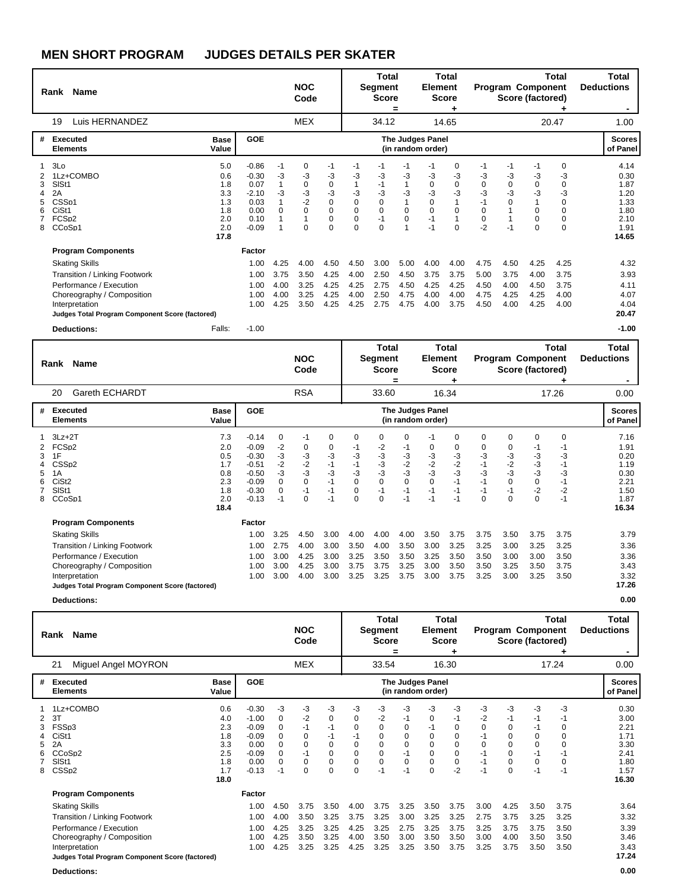|                                 | Rank Name                                                                                                                                                                                                         |                                                              |                                                                          |                                      | <b>NOC</b><br>Code                                            |                                                                              |                                                                 | Total<br>Segment<br><b>Score</b>                                         | =                                    | <b>Element</b>                                              | Total<br><b>Score</b>                      |                                                             |                                                      | Program Component<br>Score (factored)       | Total                                                                   | Total<br><b>Deductions</b>                                            |
|---------------------------------|-------------------------------------------------------------------------------------------------------------------------------------------------------------------------------------------------------------------|--------------------------------------------------------------|--------------------------------------------------------------------------|--------------------------------------|---------------------------------------------------------------|------------------------------------------------------------------------------|-----------------------------------------------------------------|--------------------------------------------------------------------------|--------------------------------------|-------------------------------------------------------------|--------------------------------------------|-------------------------------------------------------------|------------------------------------------------------|---------------------------------------------|-------------------------------------------------------------------------|-----------------------------------------------------------------------|
|                                 | Luis HERNANDEZ<br>19                                                                                                                                                                                              |                                                              |                                                                          |                                      | <b>MEX</b>                                                    |                                                                              |                                                                 | 34.12                                                                    |                                      |                                                             | 14.65                                      |                                                             |                                                      |                                             | 20.47                                                                   | 1.00                                                                  |
| #                               | Executed<br><b>Elements</b>                                                                                                                                                                                       | <b>Base</b><br>Value                                         | <b>GOE</b>                                                               |                                      |                                                               |                                                                              |                                                                 |                                                                          |                                      | The Judges Panel<br>(in random order)                       |                                            |                                                             |                                                      |                                             |                                                                         | <b>Scores</b><br>of Panel                                             |
| 1<br>2<br>3<br>4<br>5<br>6<br>8 | 3Lo<br>1Lz+COMBO<br>SIS <sub>t1</sub><br>2A<br>CSS <sub>p1</sub><br>CiSt1<br>FCSp2<br>CCoSp1                                                                                                                      | 5.0<br>0.6<br>1.8<br>3.3<br>1.3<br>1.8<br>2.0<br>2.0<br>17.8 | $-0.86$<br>$-0.30$<br>0.07<br>$-2.10$<br>0.03<br>0.00<br>0.10<br>$-0.09$ | -1<br>-3<br>1<br>-3<br>$\Omega$      | 0<br>$-3$<br>$\Omega$<br>$-3$<br>$-2$<br>$\Omega$<br>$\Omega$ | -1<br>-3<br>0<br>$-3$<br>$\pmb{0}$<br>$\mathbf 0$<br>$\mathbf 0$<br>$\Omega$ | $-1$<br>-3<br>-3<br>$\mathbf 0$<br>$\mathbf 0$<br>0<br>$\Omega$ | -1<br>-3<br>$-1$<br>-3<br>$\mathbf 0$<br>$\mathbf 0$<br>$-1$<br>$\Omega$ | -1<br>$-3$<br>$-3$<br>$\Omega$<br>0  | -1<br>-3<br>$\Omega$<br>-3<br>0<br>$\Omega$<br>$-1$<br>$-1$ | 0<br>$-3$<br>0<br>$-3$<br>1<br>0<br>1<br>0 | -1<br>-3<br>$\Omega$<br>-3<br>$-1$<br>$\Omega$<br>0<br>$-2$ | -1<br>-3<br>$\mathbf 0$<br>-3<br>$\mathbf 0$<br>$-1$ | -1<br>-3<br>0<br>$-3$<br>0<br>0<br>$\Omega$ | 0<br>$-3$<br>$\Omega$<br>-3<br>$\mathbf 0$<br>$\Omega$<br>0<br>$\Omega$ | 4.14<br>0.30<br>1.87<br>1.20<br>1.33<br>1.80<br>2.10<br>1.91<br>14.65 |
|                                 | <b>Program Components</b><br><b>Skating Skills</b><br>Transition / Linking Footwork<br>Performance / Execution<br>Choreography / Composition<br>Interpretation<br>Judges Total Program Component Score (factored) |                                                              | Factor<br>1.00<br>1.00<br>1.00<br>1.00<br>1.00                           | 4.25<br>3.75<br>4.00<br>4.00<br>4.25 | 4.00<br>3.50<br>3.25<br>3.25<br>3.50                          | 4.50<br>4.25<br>4.25<br>4.25<br>4.25                                         | 4.50<br>4.00<br>4.25<br>4.00<br>4.25                            | 3.00<br>2.50<br>2.75<br>2.50<br>2.75                                     | 5.00<br>4.50<br>4.50<br>4.75<br>4.75 | 4.00<br>3.75<br>4.25<br>4.00<br>4.00                        | 4.00<br>3.75<br>4.25<br>4.00<br>3.75       | 4.75<br>5.00<br>4.50<br>4.75<br>4.50                        | 4.50<br>3.75<br>4.00<br>4.25<br>4.00                 | 4.25<br>4.00<br>4.50<br>4.25<br>4.25        | 4.25<br>3.75<br>3.75<br>4.00<br>4.00                                    | 4.32<br>3.93<br>4.11<br>4.07<br>4.04<br>20.47                         |
|                                 | <b>Deductions:</b>                                                                                                                                                                                                | Falls:                                                       | $-1.00$                                                                  |                                      |                                                               |                                                                              |                                                                 |                                                                          |                                      |                                                             |                                            |                                                             |                                                      |                                             |                                                                         | $-1.00$                                                               |

|             | Rank Name                                                                                                                                                                            |                                                              |                                                                                      |                                                                  | <b>NOC</b><br>Code                                        |                                                    |                                                                            | Total<br>Segment<br><b>Score</b>                                            | =                                                                   | <b>Element</b>                                               | Total<br><b>Score</b>                                  |                                                       |                                                                          | Program Component<br>Score (factored)                          | <b>Total</b>                                               | Total<br><b>Deductions</b>                                            |
|-------------|--------------------------------------------------------------------------------------------------------------------------------------------------------------------------------------|--------------------------------------------------------------|--------------------------------------------------------------------------------------|------------------------------------------------------------------|-----------------------------------------------------------|----------------------------------------------------|----------------------------------------------------------------------------|-----------------------------------------------------------------------------|---------------------------------------------------------------------|--------------------------------------------------------------|--------------------------------------------------------|-------------------------------------------------------|--------------------------------------------------------------------------|----------------------------------------------------------------|------------------------------------------------------------|-----------------------------------------------------------------------|
|             | Gareth ECHARDT<br>20                                                                                                                                                                 |                                                              |                                                                                      |                                                                  | <b>RSA</b>                                                |                                                    |                                                                            | 33.60                                                                       |                                                                     |                                                              | 16.34                                                  |                                                       |                                                                          |                                                                | 17.26                                                      | 0.00                                                                  |
| #           | <b>Executed</b><br><b>Elements</b>                                                                                                                                                   | <b>Base</b><br>Value                                         | <b>GOE</b>                                                                           |                                                                  |                                                           |                                                    |                                                                            |                                                                             |                                                                     | <b>The Judges Panel</b><br>(in random order)                 |                                                        |                                                       |                                                                          |                                                                |                                                            | <b>Scores</b><br>of Panel                                             |
| 3<br>5<br>8 | $3Lz + 2T$<br>FCS <sub>p2</sub><br>1F<br>CSSp2<br>1A<br>CiSt <sub>2</sub><br>SISt1<br>CCoSp1                                                                                         | 7.3<br>2.0<br>0.5<br>1.7<br>0.8<br>2.3<br>1.8<br>2.0<br>18.4 | $-0.14$<br>$-0.09$<br>$-0.30$<br>$-0.51$<br>$-0.50$<br>$-0.09$<br>$-0.30$<br>$-0.13$ | 0<br>$-2$<br>$-3$<br>$-2$<br>-3<br>$\mathbf 0$<br>$\Omega$<br>-1 | $-1$<br>0<br>-3<br>$-2$<br>-3<br>$\mathbf 0$<br>$-1$<br>0 | 0<br>$0 - 3$<br>$-1$<br>-3<br>$-1$<br>$-1$<br>$-1$ | $\Omega$<br>-1<br>-3<br>$-1$<br>-3<br>$\pmb{0}$<br>$\mathbf 0$<br>$\Omega$ | $\Omega$<br>$-2$<br>$-3$<br>$-3$<br>$-3$<br>$\mathbf 0$<br>$-1$<br>$\Omega$ | $\Omega$<br>-1<br>-3<br>$-2$<br>$-3$<br>$\mathbf 0$<br>$-1$<br>$-1$ | $-1$<br>0<br>$-3$<br>$-2$<br>-3<br>$\mathbf 0$<br>$-1$<br>-1 | 0<br>0<br>$-3$<br>$-2$<br>$-3$<br>$-1$<br>$-1$<br>$-1$ | $\Omega$<br>0<br>-3<br>-3<br>$-1$<br>$-1$<br>$\Omega$ | $\Omega$<br>0<br>$-3$<br>$-2$<br>$-3$<br>$\mathbf 0$<br>$-1$<br>$\Omega$ | 0<br>-1<br>-3<br>$-3$<br>-3<br>$\mathbf 0$<br>$-2$<br>$\Omega$ | $\Omega$<br>-1<br>-3<br>$-1$<br>-3<br>$-1$<br>$-2$<br>$-1$ | 7.16<br>1.91<br>0.20<br>1.19<br>0.30<br>2.21<br>1.50<br>1.87<br>16.34 |
|             | <b>Program Components</b>                                                                                                                                                            |                                                              | Factor                                                                               |                                                                  |                                                           |                                                    |                                                                            |                                                                             |                                                                     |                                                              |                                                        |                                                       |                                                                          |                                                                |                                                            |                                                                       |
|             | <b>Skating Skills</b><br>Transition / Linking Footwork<br>Performance / Execution<br>Choreography / Composition<br>Interpretation<br>Judges Total Program Component Score (factored) |                                                              | 1.00<br>1.00<br>1.00<br>1.00<br>1.00                                                 | 3.25<br>2.75<br>3.00<br>3.00<br>3.00                             | 4.50<br>4.00<br>4.25<br>4.25<br>4.00                      | 3.00<br>3.00<br>3.00<br>3.00<br>3.00               | 4.00<br>3.50<br>3.25<br>3.75<br>3.25                                       | 4.00<br>4.00<br>3.50<br>3.75<br>3.25                                        | 4.00<br>3.50<br>3.50<br>3.25<br>3.75                                | 3.50<br>3.00<br>3.25<br>3.00<br>3.00                         | 3.75<br>3.25<br>3.50<br>3.50<br>3.75                   | 3.75<br>3.25<br>3.50<br>3.50<br>3.25                  | 3.50<br>3.00<br>3.00<br>3.25<br>3.00                                     | 3.75<br>3.25<br>3.00<br>3.50<br>3.25                           | 3.75<br>3.25<br>3.50<br>3.75<br>3.50                       | 3.79<br>3.36<br>3.36<br>3.43<br>3.32<br>17.26                         |
|             | <b>Deductions:</b>                                                                                                                                                                   |                                                              |                                                                                      |                                                                  |                                                           |                                                    |                                                                            |                                                                             |                                                                     |                                                              |                                                        |                                                       |                                                                          |                                                                |                                                            | 0.00                                                                  |

|                  | <b>Name</b><br>Rank                                                                                            |                                                              |                                                                                |                                               | <b>NOC</b><br>Code                             |                                                             |                                                                | Total<br>Segment<br><b>Score</b>                          | =                                            | <b>Element</b>                                | Total<br><b>Score</b>                                                   |                                                         | Program Component<br>Score (factored)           |                                               | Total                                                     | Total<br><b>Deductions</b>                                            |
|------------------|----------------------------------------------------------------------------------------------------------------|--------------------------------------------------------------|--------------------------------------------------------------------------------|-----------------------------------------------|------------------------------------------------|-------------------------------------------------------------|----------------------------------------------------------------|-----------------------------------------------------------|----------------------------------------------|-----------------------------------------------|-------------------------------------------------------------------------|---------------------------------------------------------|-------------------------------------------------|-----------------------------------------------|-----------------------------------------------------------|-----------------------------------------------------------------------|
|                  | Miguel Angel MOYRON<br>21                                                                                      |                                                              |                                                                                |                                               | <b>MEX</b>                                     |                                                             |                                                                | 33.54                                                     |                                              |                                               | 16.30                                                                   |                                                         |                                                 |                                               | 17.24                                                     | 0.00                                                                  |
| #                | <b>Executed</b><br><b>Elements</b>                                                                             | <b>Base</b><br>Value                                         | <b>GOE</b>                                                                     |                                               |                                                |                                                             |                                                                |                                                           |                                              | <b>The Judges Panel</b><br>(in random order)  |                                                                         |                                                         |                                                 |                                               |                                                           | <b>Scores</b><br>of Panel                                             |
| 2<br>5<br>6<br>8 | 1Lz+COMBO<br>3T<br>FSSp3<br>CiSt1<br>2A<br>CCoSp2<br>SISt1<br>CSS <sub>D2</sub>                                | 0.6<br>4.0<br>2.3<br>1.8<br>3.3<br>2.5<br>1.8<br>1.7<br>18.0 | $-0.30$<br>$-1.00$<br>$-0.09$<br>$-0.09$<br>0.00<br>$-0.09$<br>0.00<br>$-0.13$ | -3<br>0<br>0<br>0<br>0<br>0<br>$\Omega$<br>-1 | -3<br>$-2$<br>$-1$<br>0<br>0<br>$-1$<br>0<br>0 | -3<br>0<br>-1<br>-1<br>0<br>0<br>$\mathbf 0$<br>$\mathbf 0$ | -3<br>0<br>$\Omega$<br>-1<br>0<br>0<br>$\mathbf 0$<br>$\Omega$ | -3<br>$-2$<br>$\Omega$<br>0<br>0<br>0<br>$\Omega$<br>$-1$ | -3<br>-1<br>0<br>0<br>0<br>$-1$<br>0<br>$-1$ | -3<br>0<br>-1<br>0<br>0<br>0<br>$\Omega$<br>0 | -3<br>-1<br>0<br>0<br>$\mathbf 0$<br>$\mathbf 0$<br>$\mathbf 0$<br>$-2$ | -3<br>-2<br>0<br>-1<br>$\Omega$<br>$-1$<br>$-1$<br>$-1$ | $-3$<br>-1<br>0<br>0<br>0<br>0<br>$\Omega$<br>0 | -3<br>-1<br>-1<br>0<br>0<br>$-1$<br>0<br>$-1$ | -3<br>-1<br>0<br>$\Omega$<br>$\Omega$<br>$\Omega$<br>$-1$ | 0.30<br>3.00<br>2.21<br>1.71<br>3.30<br>2.41<br>1.80<br>1.57<br>16.30 |
|                  | <b>Program Components</b><br><b>Skating Skills</b><br>Transition / Linking Footwork<br>Performance / Execution |                                                              | Factor<br>1.00<br>1.00<br>1.00                                                 | 4.50<br>4.00<br>4.25                          | 3.75<br>3.50<br>3.25                           | 3.50<br>3.25<br>3.25                                        | 4.00<br>3.75<br>4.25                                           | 3.75<br>3.25<br>3.25                                      | 3.25<br>3.00<br>2.75                         | 3.50<br>3.25<br>3.25                          | 3.75<br>3.25<br>3.75                                                    | 3.00<br>2.75<br>3.25                                    | 4.25<br>3.75<br>3.75                            | 3.50<br>3.25<br>3.75                          | 3.75<br>3.25<br>3.50                                      | 3.64<br>3.32<br>3.39                                                  |
|                  | Choreography / Composition<br>Interpretation<br>Judges Total Program Component Score (factored)                |                                                              | 1.00<br>1.00                                                                   | 4.25<br>4.25                                  | 3.50<br>3.25                                   | 3.25<br>3.25                                                | 4.00<br>4.25                                                   | 3.50<br>3.25                                              | 3.00<br>3.25                                 | 3.50<br>3.50                                  | 3.50<br>3.75                                                            | 3.00<br>3.25                                            | 4.00<br>3.75                                    | 3.50<br>3.50                                  | 3.50<br>3.50                                              | 3.46<br>3.43<br>17.24                                                 |